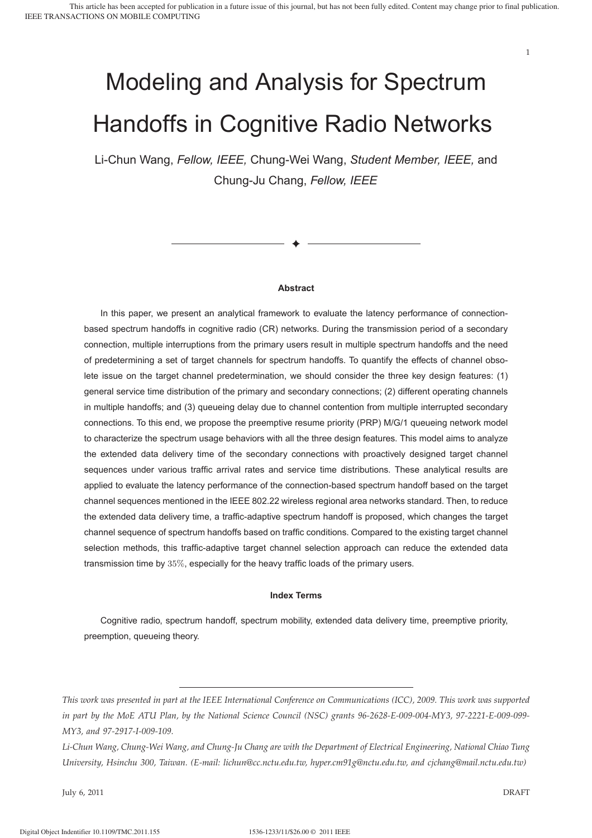# Modeling and Analysis for Spectrum Handoffs in Cognitive Radio Networks

Li-Chun Wang, *Fellow, IEEE,* Chung-Wei Wang, *Student Member, IEEE,* and Chung-Ju Chang, *Fellow, IEEE*

#### **Abstract**

✦

In this paper, we present an analytical framework to evaluate the latency performance of connectionbased spectrum handoffs in cognitive radio (CR) networks. During the transmission period of a secondary connection, multiple interruptions from the primary users result in multiple spectrum handoffs and the need of predetermining a set of target channels for spectrum handoffs. To quantify the effects of channel obsolete issue on the target channel predetermination, we should consider the three key design features: (1) general service time distribution of the primary and secondary connections; (2) different operating channels in multiple handoffs; and (3) queueing delay due to channel contention from multiple interrupted secondary connections. To this end, we propose the preemptive resume priority (PRP) M/G/1 queueing network model to characterize the spectrum usage behaviors with all the three design features. This model aims to analyze the extended data delivery time of the secondary connections with proactively designed target channel sequences under various traffic arrival rates and service time distributions. These analytical results are applied to evaluate the latency performance of the connection-based spectrum handoff based on the target channel sequences mentioned in the IEEE 802.22 wireless regional area networks standard. Then, to reduce the extended data delivery time, a traffic-adaptive spectrum handoff is proposed, which changes the target channel sequence of spectrum handoffs based on traffic conditions. Compared to the existing target channel selection methods, this traffic-adaptive target channel selection approach can reduce the extended data transmission time by 35%, especially for the heavy traffic loads of the primary users.

#### **Index Terms**

Cognitive radio, spectrum handoff, spectrum mobility, extended data delivery time, preemptive priority, preemption, queueing theory.

July 6, 2011 DRAFT

*This work was presented in part at the IEEE International Conference on Communications (ICC), 2009. This work was supported in part by the MoE ATU Plan, by the National Science Council (NSC) grants 96-2628-E-009-004-MY3, 97-2221-E-009-099- MY3, and 97-2917-I-009-109.*

*Li-Chun Wang, Chung-Wei Wang, and Chung-Ju Chang are with the Department of Electrical Engineering, National Chiao Tung University, Hsinchu 300, Taiwan. (E-mail: lichun@cc.nctu.edu.tw, hyper.cm91g@nctu.edu.tw, and cjchang@mail.nctu.edu.tw)*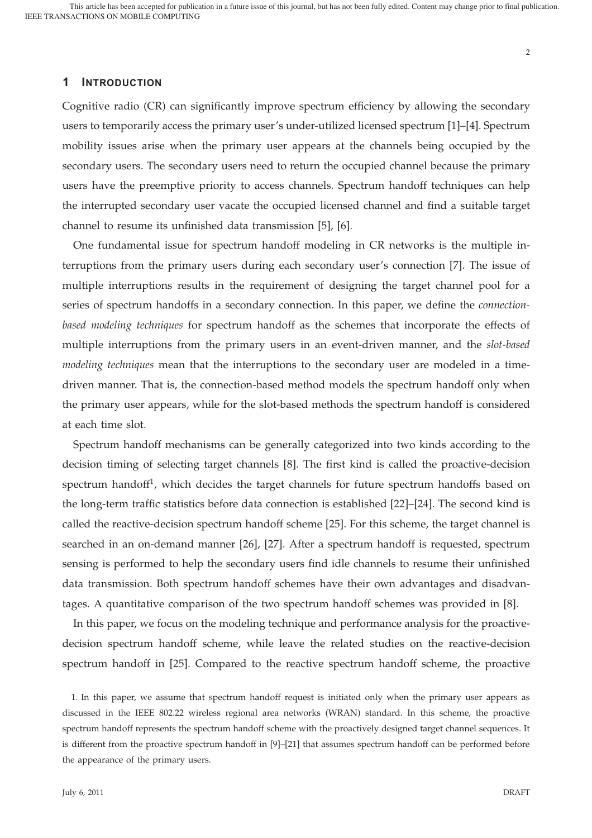#### 2

# **1 INTRODUCTION**

Cognitive radio (CR) can significantly improve spectrum efficiency by allowing the secondary users to temporarily access the primary user's under-utilized licensed spectrum [1]–[4]. Spectrum mobility issues arise when the primary user appears at the channels being occupied by the secondary users. The secondary users need to return the occupied channel because the primary users have the preemptive priority to access channels. Spectrum handoff techniques can help the interrupted secondary user vacate the occupied licensed channel and find a suitable target channel to resume its unfinished data transmission [5], [6].

One fundamental issue for spectrum handoff modeling in CR networks is the multiple interruptions from the primary users during each secondary user's connection [7]. The issue of multiple interruptions results in the requirement of designing the target channel pool for a series of spectrum handoffs in a secondary connection. In this paper, we define the *connectionbased modeling techniques* for spectrum handoff as the schemes that incorporate the effects of multiple interruptions from the primary users in an event-driven manner, and the *slot-based modeling techniques* mean that the interruptions to the secondary user are modeled in a timedriven manner. That is, the connection-based method models the spectrum handoff only when the primary user appears, while for the slot-based methods the spectrum handoff is considered at each time slot.

Spectrum handoff mechanisms can be generally categorized into two kinds according to the decision timing of selecting target channels [8]. The first kind is called the proactive-decision spectrum handoff<sup>1</sup>, which decides the target channels for future spectrum handoffs based on the long-term traffic statistics before data connection is established [22]–[24]. The second kind is called the reactive-decision spectrum handoff scheme [25]. For this scheme, the target channel is searched in an on-demand manner [26], [27]. After a spectrum handoff is requested, spectrum sensing is performed to help the secondary users find idle channels to resume their unfinished data transmission. Both spectrum handoff schemes have their own advantages and disadvantages. A quantitative comparison of the two spectrum handoff schemes was provided in [8].

In this paper, we focus on the modeling technique and performance analysis for the proactivedecision spectrum handoff scheme, while leave the related studies on the reactive-decision spectrum handoff in [25]. Compared to the reactive spectrum handoff scheme, the proactive

1. In this paper, we assume that spectrum handoff request is initiated only when the primary user appears as discussed in the IEEE 802.22 wireless regional area networks (WRAN) standard. In this scheme, the proactive spectrum handoff represents the spectrum handoff scheme with the proactively designed target channel sequences. It is different from the proactive spectrum handoff in [9]–[21] that assumes spectrum handoff can be performed before the appearance of the primary users.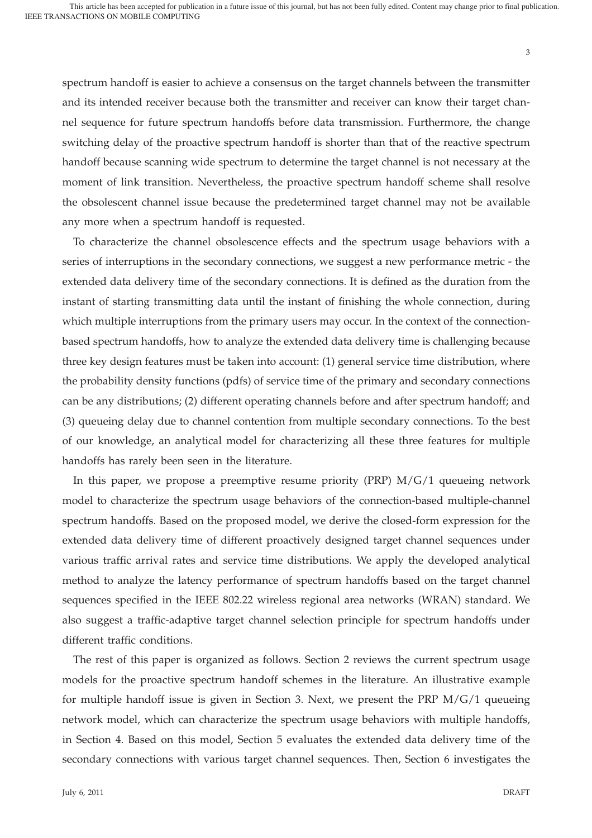spectrum handoff is easier to achieve a consensus on the target channels between the transmitter and its intended receiver because both the transmitter and receiver can know their target channel sequence for future spectrum handoffs before data transmission. Furthermore, the change switching delay of the proactive spectrum handoff is shorter than that of the reactive spectrum handoff because scanning wide spectrum to determine the target channel is not necessary at the moment of link transition. Nevertheless, the proactive spectrum handoff scheme shall resolve the obsolescent channel issue because the predetermined target channel may not be available any more when a spectrum handoff is requested.

To characterize the channel obsolescence effects and the spectrum usage behaviors with a series of interruptions in the secondary connections, we suggest a new performance metric - the extended data delivery time of the secondary connections. It is defined as the duration from the instant of starting transmitting data until the instant of finishing the whole connection, during which multiple interruptions from the primary users may occur. In the context of the connectionbased spectrum handoffs, how to analyze the extended data delivery time is challenging because three key design features must be taken into account: (1) general service time distribution, where the probability density functions (pdfs) of service time of the primary and secondary connections can be any distributions; (2) different operating channels before and after spectrum handoff; and (3) queueing delay due to channel contention from multiple secondary connections. To the best of our knowledge, an analytical model for characterizing all these three features for multiple handoffs has rarely been seen in the literature.

In this paper, we propose a preemptive resume priority (PRP) M/G/1 queueing network model to characterize the spectrum usage behaviors of the connection-based multiple-channel spectrum handoffs. Based on the proposed model, we derive the closed-form expression for the extended data delivery time of different proactively designed target channel sequences under various traffic arrival rates and service time distributions. We apply the developed analytical method to analyze the latency performance of spectrum handoffs based on the target channel sequences specified in the IEEE 802.22 wireless regional area networks (WRAN) standard. We also suggest a traffic-adaptive target channel selection principle for spectrum handoffs under different traffic conditions.

The rest of this paper is organized as follows. Section 2 reviews the current spectrum usage models for the proactive spectrum handoff schemes in the literature. An illustrative example for multiple handoff issue is given in Section 3. Next, we present the PRP M/G/1 queueing network model, which can characterize the spectrum usage behaviors with multiple handoffs, in Section 4. Based on this model, Section 5 evaluates the extended data delivery time of the secondary connections with various target channel sequences. Then, Section 6 investigates the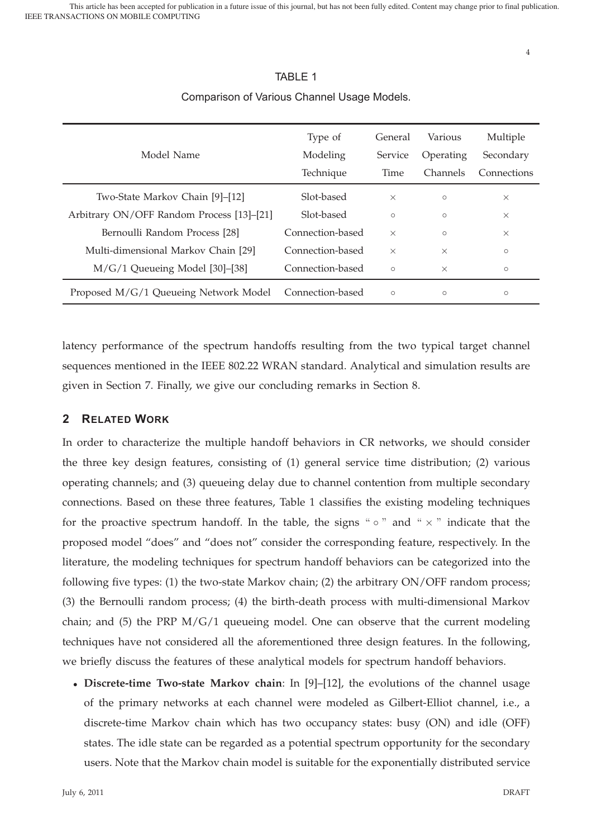|                                           | Type of          | General  | Various         | Multiple    |
|-------------------------------------------|------------------|----------|-----------------|-------------|
| Model Name                                | Modeling         | Service  | Operating       | Secondary   |
|                                           | Technique        | Time     | <b>Channels</b> | Connections |
| Two-State Markov Chain [9]-[12]           | Slot-based       | $\times$ | $\circ$         | $\times$    |
| Arbitrary ON/OFF Random Process [13]-[21] | Slot-based       | $\circ$  | $\circ$         | $\times$    |
| Bernoulli Random Process [28]             | Connection-based | $\times$ | $\circ$         | $\times$    |
| Multi-dimensional Markov Chain [29]       | Connection-based | $\times$ | $\times$        | $\circ$     |
| $M/G/1$ Queueing Model [30]-[38]          | Connection-based | $\circ$  | $\times$        | $\circ$     |
| Proposed M/G/1 Queueing Network Model     | Connection-based | $\circ$  | $\circ$         | $\circ$     |

# TABLE 1 Comparison of Various Channel Usage Models.

latency performance of the spectrum handoffs resulting from the two typical target channel sequences mentioned in the IEEE 802.22 WRAN standard. Analytical and simulation results are given in Section 7. Finally, we give our concluding remarks in Section 8.

# **2 RELATED WORK**

In order to characterize the multiple handoff behaviors in CR networks, we should consider the three key design features, consisting of (1) general service time distribution; (2) various operating channels; and (3) queueing delay due to channel contention from multiple secondary connections. Based on these three features, Table 1 classifies the existing modeling techniques for the proactive spectrum handoff. In the table, the signs " $\circ$ " and " $\times$ " indicate that the proposed model "does" and "does not" consider the corresponding feature, respectively. In the literature, the modeling techniques for spectrum handoff behaviors can be categorized into the following five types: (1) the two-state Markov chain; (2) the arbitrary ON/OFF random process; (3) the Bernoulli random process; (4) the birth-death process with multi-dimensional Markov chain; and  $(5)$  the PRP  $M/G/1$  queueing model. One can observe that the current modeling techniques have not considered all the aforementioned three design features. In the following, we briefly discuss the features of these analytical models for spectrum handoff behaviors.

• **Discrete-time Two-state Markov chain**: In [9]–[12], the evolutions of the channel usage of the primary networks at each channel were modeled as Gilbert-Elliot channel, i.e., a discrete-time Markov chain which has two occupancy states: busy (ON) and idle (OFF) states. The idle state can be regarded as a potential spectrum opportunity for the secondary users. Note that the Markov chain model is suitable for the exponentially distributed service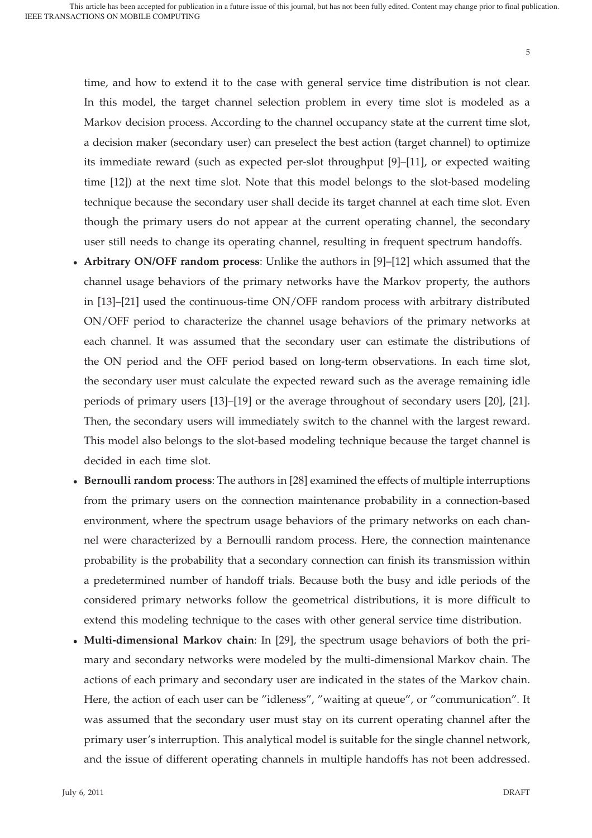time, and how to extend it to the case with general service time distribution is not clear. In this model, the target channel selection problem in every time slot is modeled as a Markov decision process. According to the channel occupancy state at the current time slot, a decision maker (secondary user) can preselect the best action (target channel) to optimize its immediate reward (such as expected per-slot throughput [9]–[11], or expected waiting time [12]) at the next time slot. Note that this model belongs to the slot-based modeling technique because the secondary user shall decide its target channel at each time slot. Even though the primary users do not appear at the current operating channel, the secondary user still needs to change its operating channel, resulting in frequent spectrum handoffs.

- **Arbitrary ON/OFF random process**: Unlike the authors in [9]–[12] which assumed that the channel usage behaviors of the primary networks have the Markov property, the authors in [13]–[21] used the continuous-time ON/OFF random process with arbitrary distributed ON/OFF period to characterize the channel usage behaviors of the primary networks at each channel. It was assumed that the secondary user can estimate the distributions of the ON period and the OFF period based on long-term observations. In each time slot, the secondary user must calculate the expected reward such as the average remaining idle periods of primary users [13]–[19] or the average throughout of secondary users [20], [21]. Then, the secondary users will immediately switch to the channel with the largest reward. This model also belongs to the slot-based modeling technique because the target channel is decided in each time slot.
- **Bernoulli random process**: The authors in [28] examined the effects of multiple interruptions from the primary users on the connection maintenance probability in a connection-based environment, where the spectrum usage behaviors of the primary networks on each channel were characterized by a Bernoulli random process. Here, the connection maintenance probability is the probability that a secondary connection can finish its transmission within a predetermined number of handoff trials. Because both the busy and idle periods of the considered primary networks follow the geometrical distributions, it is more difficult to extend this modeling technique to the cases with other general service time distribution.
- **Multi-dimensional Markov chain**: In [29], the spectrum usage behaviors of both the primary and secondary networks were modeled by the multi-dimensional Markov chain. The actions of each primary and secondary user are indicated in the states of the Markov chain. Here, the action of each user can be "idleness", "waiting at queue", or "communication". It was assumed that the secondary user must stay on its current operating channel after the primary user's interruption. This analytical model is suitable for the single channel network, and the issue of different operating channels in multiple handoffs has not been addressed.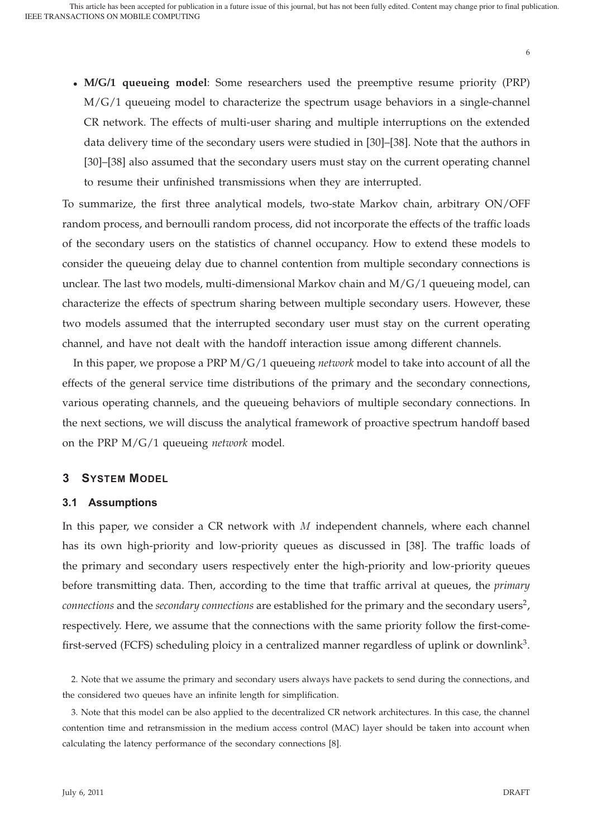• **M/G/1 queueing model**: Some researchers used the preemptive resume priority (PRP) M/G/1 queueing model to characterize the spectrum usage behaviors in a single-channel CR network. The effects of multi-user sharing and multiple interruptions on the extended data delivery time of the secondary users were studied in [30]–[38]. Note that the authors in [30]–[38] also assumed that the secondary users must stay on the current operating channel to resume their unfinished transmissions when they are interrupted.

To summarize, the first three analytical models, two-state Markov chain, arbitrary ON/OFF random process, and bernoulli random process, did not incorporate the effects of the traffic loads of the secondary users on the statistics of channel occupancy. How to extend these models to consider the queueing delay due to channel contention from multiple secondary connections is unclear. The last two models, multi-dimensional Markov chain and  $M/G/1$  queueing model, can characterize the effects of spectrum sharing between multiple secondary users. However, these two models assumed that the interrupted secondary user must stay on the current operating channel, and have not dealt with the handoff interaction issue among different channels.

In this paper, we propose a PRP M/G/1 queueing *network* model to take into account of all the effects of the general service time distributions of the primary and the secondary connections, various operating channels, and the queueing behaviors of multiple secondary connections. In the next sections, we will discuss the analytical framework of proactive spectrum handoff based on the PRP M/G/1 queueing *network* model.

# **3 SYSTEM MODEL**

#### **3.1 Assumptions**

In this paper, we consider a CR network with  $M$  independent channels, where each channel has its own high-priority and low-priority queues as discussed in [38]. The traffic loads of the primary and secondary users respectively enter the high-priority and low-priority queues before transmitting data. Then, according to the time that traffic arrival at queues, the *primary connections* and the *secondary connections* are established for the primary and the secondary users<sup>2</sup>, respectively. Here, we assume that the connections with the same priority follow the first-comefirst-served (FCFS) scheduling ploicy in a centralized manner regardless of uplink or downlink<sup>3</sup>.

<sup>2.</sup> Note that we assume the primary and secondary users always have packets to send during the connections, and the considered two queues have an infinite length for simplification.

<sup>3.</sup> Note that this model can be also applied to the decentralized CR network architectures. In this case, the channel contention time and retransmission in the medium access control (MAC) layer should be taken into account when calculating the latency performance of the secondary connections [8].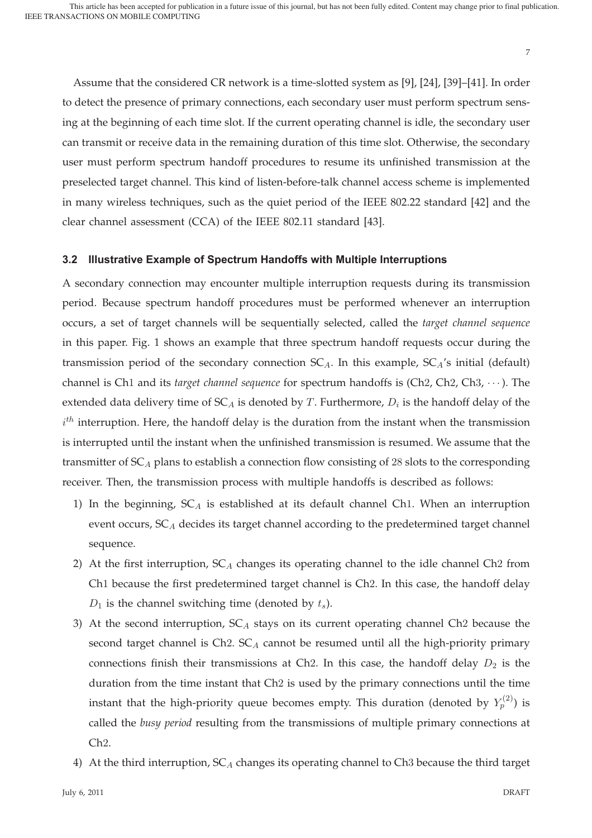Assume that the considered CR network is a time-slotted system as [9], [24], [39]–[41]. In order to detect the presence of primary connections, each secondary user must perform spectrum sensing at the beginning of each time slot. If the current operating channel is idle, the secondary user can transmit or receive data in the remaining duration of this time slot. Otherwise, the secondary user must perform spectrum handoff procedures to resume its unfinished transmission at the preselected target channel. This kind of listen-before-talk channel access scheme is implemented in many wireless techniques, such as the quiet period of the IEEE 802.22 standard [42] and the clear channel assessment (CCA) of the IEEE 802.11 standard [43].

#### **3.2 Illustrative Example of Spectrum Handoffs with Multiple Interruptions**

A secondary connection may encounter multiple interruption requests during its transmission period. Because spectrum handoff procedures must be performed whenever an interruption occurs, a set of target channels will be sequentially selected, called the *target channel sequence* in this paper. Fig. 1 shows an example that three spectrum handoff requests occur during the transmission period of the secondary connection  $SC_A$ . In this example,  $SC_A$ 's initial (default) channel is Ch1 and its *target channel sequence* for spectrum handoffs is (Ch2, Ch2, Ch3, ···). The extended data delivery time of  $SC_A$  is denoted by T. Furthermore,  $D_i$  is the handoff delay of the  $i^{th}$  interruption. Here, the handoff delay is the duration from the instant when the transmission is interrupted until the instant when the unfinished transmission is resumed. We assume that the transmitter of  $SC_A$  plans to establish a connection flow consisting of 28 slots to the corresponding receiver. Then, the transmission process with multiple handoffs is described as follows:

- 1) In the beginning,  $SC_A$  is established at its default channel Ch1. When an interruption event occurs,  $SC_A$  decides its target channel according to the predetermined target channel sequence.
- 2) At the first interruption,  $SC_A$  changes its operating channel to the idle channel Ch2 from Ch1 because the first predetermined target channel is Ch2. In this case, the handoff delay  $D_1$  is the channel switching time (denoted by  $t_s$ ).
- 3) At the second interruption,  $SC_A$  stays on its current operating channel Ch2 because the second target channel is  $Ch2. SC<sub>A</sub>$  cannot be resumed until all the high-priority primary connections finish their transmissions at Ch2. In this case, the handoff delay  $D_2$  is the duration from the time instant that Ch2 is used by the primary connections until the time instant that the high-priority queue becomes empty. This duration (denoted by  $Y^{(2)}_p)$  is called the *busy period* resulting from the transmissions of multiple primary connections at Ch2.
- 4) At the third interruption,  $SC_A$  changes its operating channel to Ch3 because the third target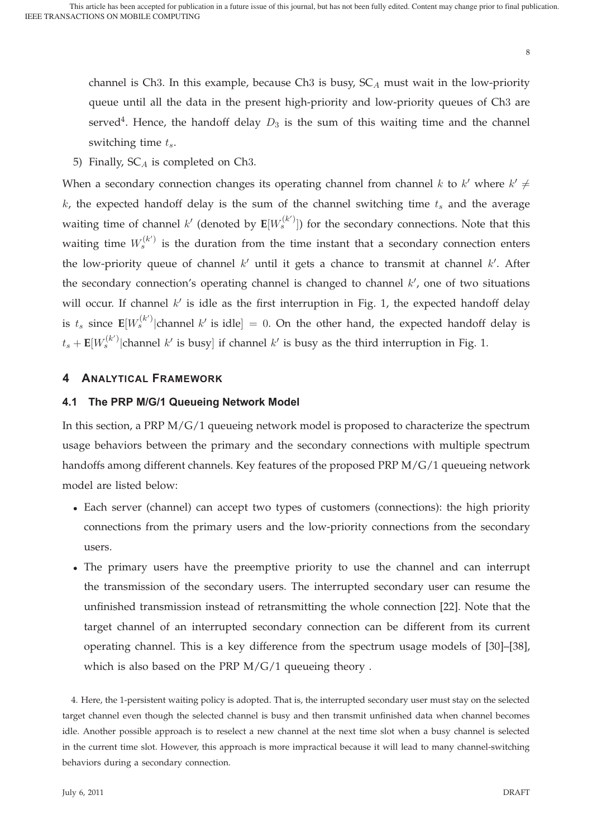channel is Ch3. In this example, because Ch3 is busy,  $SC_A$  must wait in the low-priority queue until all the data in the present high-priority and low-priority queues of Ch3 are served<sup>4</sup>. Hence, the handoff delay  $D_3$  is the sum of this waiting time and the channel switching time  $t_s$ .

5) Finally,  $SC_A$  is completed on Ch3.

When a secondary connection changes its operating channel from channel k to  $k'$  where  $k' \neq$  $k$ , the expected handoff delay is the sum of the channel switching time  $t_s$  and the average waiting time of channel  $k'$  (denoted by  $\mathbf{E}[W_s^{(k')}]$ ) for the secondary connections. Note that this waiting time  $W^{(k')}_s$  is the duration from the time instant that a secondary connection enters the low-priority queue of channel  $k'$  until it gets a chance to transmit at channel  $k'$ . After the secondary connection's operating channel is changed to channel  $k'$ , one of two situations will occur. If channel  $k'$  is idle as the first interruption in Fig. 1, the expected handoff delay is  $t_s$  since  $\mathbf{E}[W_s^{(k')}]$ channel k' is idle] = 0. On the other hand, the expected handoff delay is  $t_s + \mathbf{E}[W_s^{(k)}]$ channel  $k'$  is busy] if channel  $k'$  is busy as the third interruption in Fig. 1.

# **4 ANALYTICAL FRAMEWORK**

## **4.1 The PRP M/G/1 Queueing Network Model**

In this section, a PRP M/G/1 queueing network model is proposed to characterize the spectrum usage behaviors between the primary and the secondary connections with multiple spectrum handoffs among different channels. Key features of the proposed PRP M/G/1 queueing network model are listed below:

- Each server (channel) can accept two types of customers (connections): the high priority connections from the primary users and the low-priority connections from the secondary users.
- The primary users have the preemptive priority to use the channel and can interrupt the transmission of the secondary users. The interrupted secondary user can resume the unfinished transmission instead of retransmitting the whole connection [22]. Note that the target channel of an interrupted secondary connection can be different from its current operating channel. This is a key difference from the spectrum usage models of [30]–[38], which is also based on the PRP M/G/1 queueing theory .

4. Here, the 1-persistent waiting policy is adopted. That is, the interrupted secondary user must stay on the selected target channel even though the selected channel is busy and then transmit unfinished data when channel becomes idle. Another possible approach is to reselect a new channel at the next time slot when a busy channel is selected in the current time slot. However, this approach is more impractical because it will lead to many channel-switching behaviors during a secondary connection.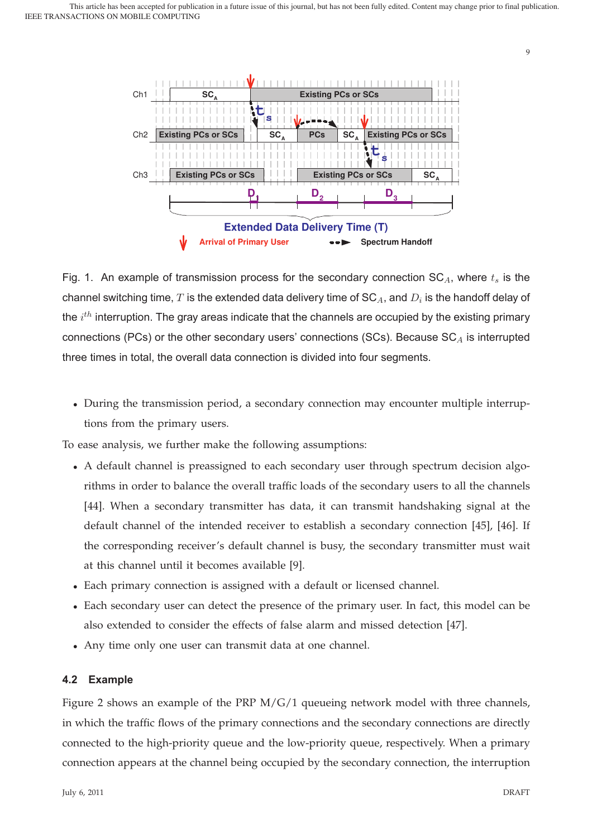

Fig. 1. An example of transmission process for the secondary connection  $SC_A$ , where  $t_s$  is the channel switching time, T is the extended data delivery time of  $SC_A$ , and  $D_i$  is the handoff delay of the  $i^{th}$  interruption. The gray areas indicate that the channels are occupied by the existing primary connections (PCs) or the other secondary users' connections (SCs). Because  $SC<sub>A</sub>$  is interrupted three times in total, the overall data connection is divided into four segments.

• During the transmission period, a secondary connection may encounter multiple interruptions from the primary users.

To ease analysis, we further make the following assumptions:

- A default channel is preassigned to each secondary user through spectrum decision algorithms in order to balance the overall traffic loads of the secondary users to all the channels [44]. When a secondary transmitter has data, it can transmit handshaking signal at the default channel of the intended receiver to establish a secondary connection [45], [46]. If the corresponding receiver's default channel is busy, the secondary transmitter must wait at this channel until it becomes available [9].
- Each primary connection is assigned with a default or licensed channel.
- Each secondary user can detect the presence of the primary user. In fact, this model can be also extended to consider the effects of false alarm and missed detection [47].
- Any time only one user can transmit data at one channel.

# **4.2 Example**

Figure 2 shows an example of the PRP  $M/G/1$  queueing network model with three channels, in which the traffic flows of the primary connections and the secondary connections are directly connected to the high-priority queue and the low-priority queue, respectively. When a primary connection appears at the channel being occupied by the secondary connection, the interruption

9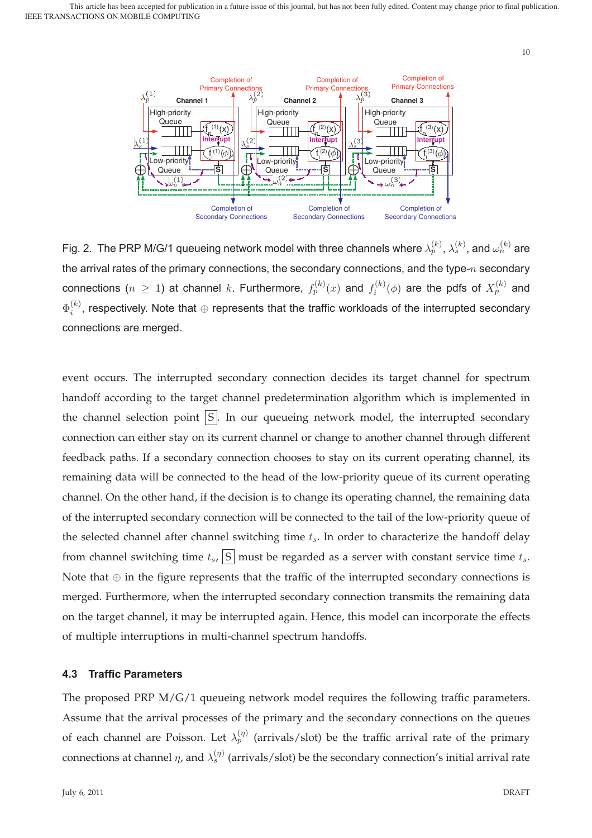

Fig. 2. The PRP M/G/1 queueing network model with three channels where  $\lambda^{(k)}_p, \, \lambda^{(k)}_s,$  and  $\omega^{(k)}_n$  are the arrival rates of the primary connections, the secondary connections, and the type- $n$  secondary connections  $(n \geq 1)$  at channel  $k$ . Furthermore,  $f_p^{(k)}(x)$  and  $f_i^{(k)}(\phi)$  are the pdfs of  $X_p^{(k)}$  and  $\Phi_i^{(k)}$ , respectively. Note that  $\oplus$  represents that the traffic workloads of the interrupted secondary connections are merged.

event occurs. The interrupted secondary connection decides its target channel for spectrum handoff according to the target channel predetermination algorithm which is implemented in the channel selection point  $|S|$ . In our queueing network model, the interrupted secondary connection can either stay on its current channel or change to another channel through different feedback paths. If a secondary connection chooses to stay on its current operating channel, its remaining data will be connected to the head of the low-priority queue of its current operating channel. On the other hand, if the decision is to change its operating channel, the remaining data of the interrupted secondary connection will be connected to the tail of the low-priority queue of the selected channel after channel switching time  $t_s$ . In order to characterize the handoff delay from channel switching time  $t_s$ ,  $\boxed{S}$  must be regarded as a server with constant service time  $t_s$ . Note that  $oplus$  in the figure represents that the traffic of the interrupted secondary connections is merged. Furthermore, when the interrupted secondary connection transmits the remaining data on the target channel, it may be interrupted again. Hence, this model can incorporate the effects of multiple interruptions in multi-channel spectrum handoffs.

# **4.3 Traffic Parameters**

The proposed PRP  $M/G/1$  queueing network model requires the following traffic parameters. Assume that the arrival processes of the primary and the secondary connections on the queues of each channel are Poisson. Let  $\lambda_p^{(\eta)}$  (arrivals/slot) be the traffic arrival rate of the primary connections at channel  $\eta$ , and  $\lambda_s^{(\eta)}$  (arrivals/slot) be the secondary connection's initial arrival rate

10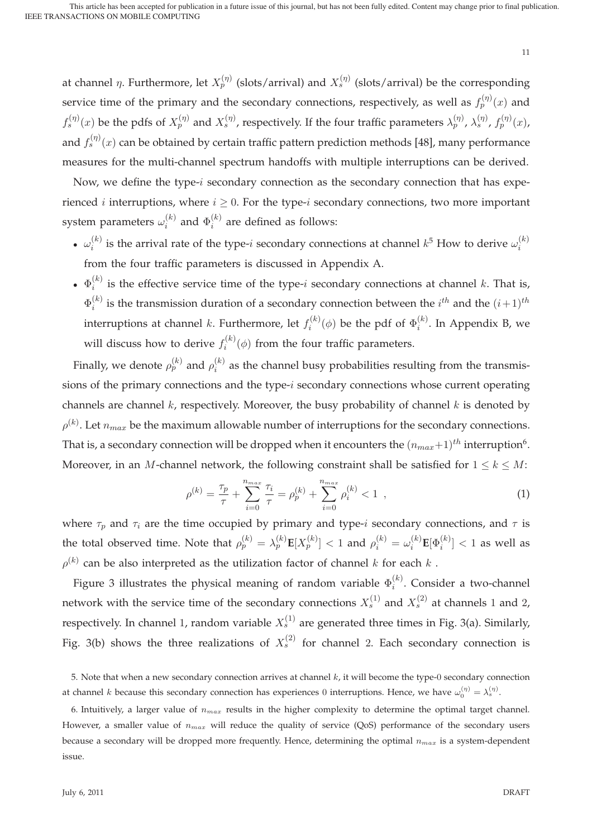at channel  $\eta.$  Furthermore, let  $X^{(\eta)}_p$  (slots/arrival) and  $X^{(\eta)}_s$  (slots/arrival) be the corresponding service time of the primary and the secondary connections, respectively, as well as  $f^{(\eta)}_p(x)$  and  $f_s^{(\eta)}(x)$  be the pdfs of  $X_p^{(\eta)}$  and  $X_s^{(\eta)}$ , respectively. If the four traffic parameters  $\lambda_p^{(\eta)}$ ,  $\lambda_s^{(\eta)}$ ,  $f_p^{(\eta)}(x)$ , and  $f_s^{(\eta)}(x)$  can be obtained by certain traffic pattern prediction methods [48], many performance measures for the multi-channel spectrum handoffs with multiple interruptions can be derived.

Now, we define the type-i secondary connection as the secondary connection that has experienced *i* interruptions, where  $i \geq 0$ . For the type-*i* secondary connections, two more important system parameters  $\omega_i^{(k)}$  and  $\Phi_i^{(k)}$  are defined as follows:

- $\omega_i^{(k)}$  is the arrival rate of the type-*i* secondary connections at channel  $k^5$  How to derive  $\omega_i^{(k)}$ from the four traffic parameters is discussed in Appendix A.
- $\Phi_i^{(k)}$  is the effective service time of the type-i secondary connections at channel k. That is,  $\Phi_i^{(k)}$  is the transmission duration of a secondary connection between the  $i^{th}$  and the  $(i+1)^{th}$ interruptions at channel  $k.$  Furthermore, let  $f_i^{(k)}(\phi)$  be the pdf of  $\Phi_i^{(k)}.$  In Appendix B, we will discuss how to derive  $f_i^{(k)}(\phi)$  from the four traffic parameters.

Finally, we denote  $\rho_p^{(k)}$  and  $\rho_i^{(k)}$  as the channel busy probabilities resulting from the transmissions of the primary connections and the type-i secondary connections whose current operating channels are channel  $k$ , respectively. Moreover, the busy probability of channel  $k$  is denoted by  $\rho^{(k)}$ . Let  $n_{max}$  be the maximum allowable number of interruptions for the secondary connections. That is, a secondary connection will be dropped when it encounters the  $(n_{max}+1)^{th}$  interruption<sup>6</sup>. Moreover, in an M-channel network, the following constraint shall be satisfied for  $1 \leq k \leq M$ :

$$
\rho^{(k)} = \frac{\tau_p}{\tau} + \sum_{i=0}^{n_{max}} \frac{\tau_i}{\tau} = \rho_p^{(k)} + \sum_{i=0}^{n_{max}} \rho_i^{(k)} < 1 \tag{1}
$$

where  $\tau_p$  and  $\tau_i$  are the time occupied by primary and type-i secondary connections, and  $\tau$  is the total observed time. Note that  $\rho_p^{(k)}=\lambda_p^{(k)}\mathbf{E}[X_p^{(k)}]<1$  and  $\rho_i^{(k)}=\omega_i^{(k)}\mathbf{E}[\Phi_i^{(k)}]<1$  as well as  $\rho^{(k)}$  can be also interpreted as the utilization factor of channel k for each k.

Figure 3 illustrates the physical meaning of random variable  $\Phi_i^{(k)}$ . Consider a two-channel network with the service time of the secondary connections  $X_s^{(1)}$  and  $X_s^{(2)}$  at channels 1 and 2, respectively. In channel 1, random variable  $X^{(1)}_s$  are generated three times in Fig. 3(a). Similarly, Fig. 3(b) shows the three realizations of  $X_s^{(2)}$  for channel 2. Each secondary connection is

<sup>5.</sup> Note that when a new secondary connection arrives at channel  $k$ , it will become the type-0 secondary connection at channel k because this secondary connection has experiences 0 interruptions. Hence, we have  $\omega_0^{(\eta)}=\lambda_s^{(\eta)}$ .

<sup>6.</sup> Intuitively, a larger value of  $n_{max}$  results in the higher complexity to determine the optimal target channel. However, a smaller value of  $n_{max}$  will reduce the quality of service (QoS) performance of the secondary users because a secondary will be dropped more frequently. Hence, determining the optimal  $n_{max}$  is a system-dependent issue.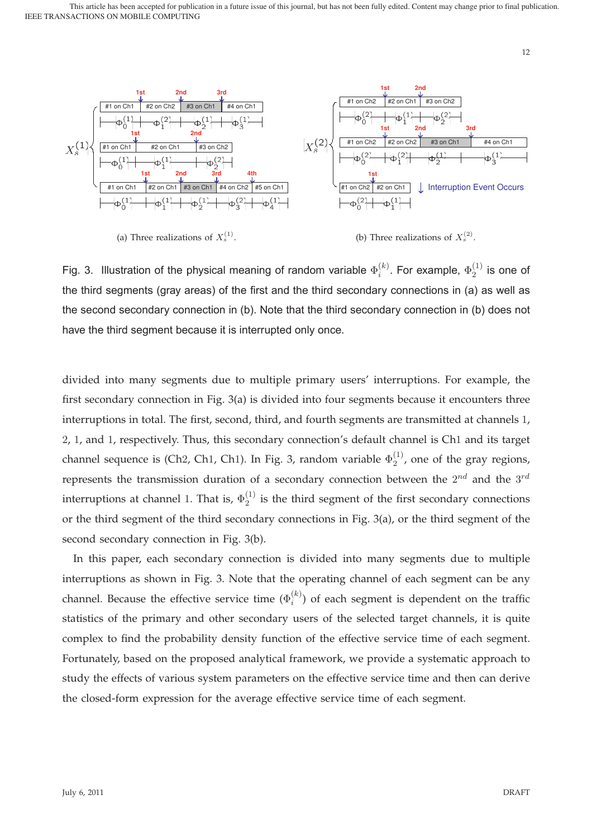

(a) Three realizations of  $X_s^{(1)}$ .

(b) Three realizations of  $X_s^{(2)}$ .

12

Fig. 3. Illustration of the physical meaning of random variable  $\Phi_i^{(k)}$ . For example,  $\Phi_2^{(1)}$  is one of the third segments (gray areas) of the first and the third secondary connections in (a) as well as the second secondary connection in (b). Note that the third secondary connection in (b) does not have the third segment because it is interrupted only once.

divided into many segments due to multiple primary users' interruptions. For example, the first secondary connection in Fig. 3(a) is divided into four segments because it encounters three interruptions in total. The first, second, third, and fourth segments are transmitted at channels 1, 2, 1, and 1, respectively. Thus, this secondary connection's default channel is Ch1 and its target channel sequence is (Ch2, Ch1, Ch1). In Fig. 3, random variable  $\Phi_2^{(1)}$ , one of the gray regions, represents the transmission duration of a secondary connection between the  $2^{nd}$  and the  $3^{rd}$ interruptions at channel 1. That is,  $\Phi_2^{(1)}$  is the third segment of the first secondary connections or the third segment of the third secondary connections in Fig. 3(a), or the third segment of the second secondary connection in Fig. 3(b).

In this paper, each secondary connection is divided into many segments due to multiple interruptions as shown in Fig. 3. Note that the operating channel of each segment can be any channel. Because the effective service time  $(\Phi_i^{(k)})$  of each segment is dependent on the traffic statistics of the primary and other secondary users of the selected target channels, it is quite complex to find the probability density function of the effective service time of each segment. Fortunately, based on the proposed analytical framework, we provide a systematic approach to study the effects of various system parameters on the effective service time and then can derive the closed-form expression for the average effective service time of each segment.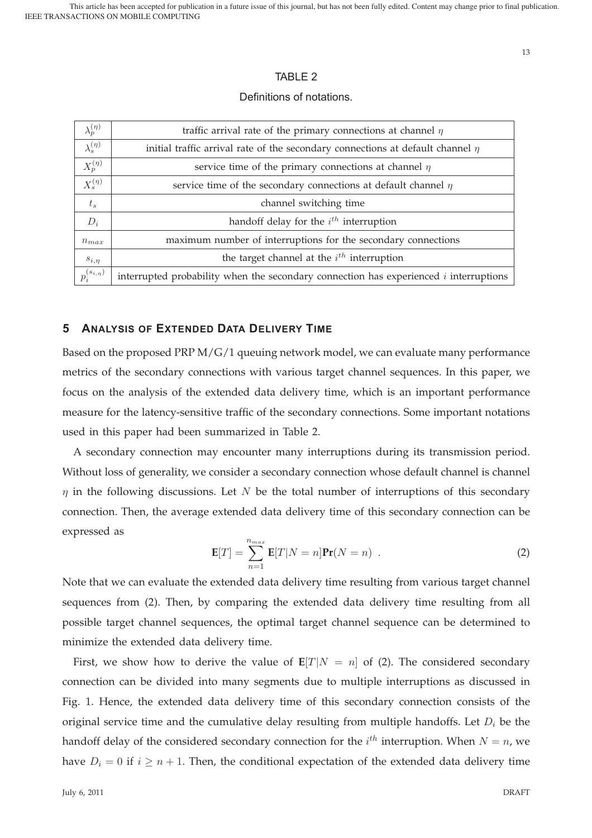# TABLE 2

#### Definitions of notations.

| traffic arrival rate of the primary connections at channel $\eta$                       |  |  |  |
|-----------------------------------------------------------------------------------------|--|--|--|
| initial traffic arrival rate of the secondary connections at default channel $\eta$     |  |  |  |
| service time of the primary connections at channel $\eta$                               |  |  |  |
| service time of the secondary connections at default channel $\eta$                     |  |  |  |
| channel switching time                                                                  |  |  |  |
| handoff delay for the $i^{th}$ interruption                                             |  |  |  |
| maximum number of interruptions for the secondary connections                           |  |  |  |
| the target channel at the $i^{th}$ interruption                                         |  |  |  |
| interrupted probability when the secondary connection has experienced $i$ interruptions |  |  |  |
|                                                                                         |  |  |  |

## **5 ANALYSIS OF EXTENDED DATA DELIVERY TIME**

Based on the proposed PRP M/G/1 queuing network model, we can evaluate many performance metrics of the secondary connections with various target channel sequences. In this paper, we focus on the analysis of the extended data delivery time, which is an important performance measure for the latency-sensitive traffic of the secondary connections. Some important notations used in this paper had been summarized in Table 2.

A secondary connection may encounter many interruptions during its transmission period. Without loss of generality, we consider a secondary connection whose default channel is channel  $\eta$  in the following discussions. Let N be the total number of interruptions of this secondary connection. Then, the average extended data delivery time of this secondary connection can be expressed as

$$
\mathbf{E}[T] = \sum_{n=1}^{n_{max}} \mathbf{E}[T|N=n] \mathbf{Pr}(N=n) .
$$
 (2)

Note that we can evaluate the extended data delivery time resulting from various target channel sequences from (2). Then, by comparing the extended data delivery time resulting from all possible target channel sequences, the optimal target channel sequence can be determined to minimize the extended data delivery time.

First, we show how to derive the value of  $E[T|N = n]$  of (2). The considered secondary connection can be divided into many segments due to multiple interruptions as discussed in Fig. 1. Hence, the extended data delivery time of this secondary connection consists of the original service time and the cumulative delay resulting from multiple handoffs. Let  $D_i$  be the handoff delay of the considered secondary connection for the  $i^{th}$  interruption. When  $N = n$ , we have  $D_i = 0$  if  $i \geq n + 1$ . Then, the conditional expectation of the extended data delivery time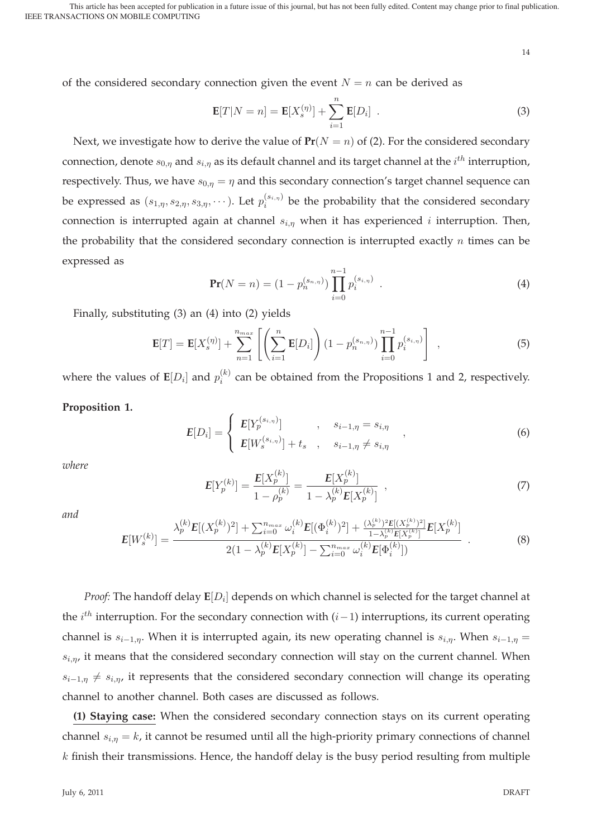14

of the considered secondary connection given the event  $N = n$  can be derived as

$$
\mathbf{E}[T|N=n] = \mathbf{E}[X_s^{(\eta)}] + \sum_{i=1}^n \mathbf{E}[D_i] .
$$
 (3)

Next, we investigate how to derive the value of  $Pr(N = n)$  of (2). For the considered secondary connection, denote  $s_{0,\eta}$  and  $s_{i,\eta}$  as its default channel and its target channel at the  $i^{th}$  interruption, respectively. Thus, we have  $s_{0,n} = \eta$  and this secondary connection's target channel sequence can be expressed as  $(s_{1,\eta}, s_{2,\eta}, s_{3,\eta}, \cdots)$ . Let  $p_i^{(s_{i,\eta})}$  be the probability that the considered secondary connection is interrupted again at channel  $s_{i,n}$  when it has experienced *i* interruption. Then, the probability that the considered secondary connection is interrupted exactly  $n$  times can be expressed as

$$
\mathbf{Pr}(N=n) = (1 - p_n^{(s_{n,\eta})}) \prod_{i=0}^{n-1} p_i^{(s_{i,\eta})} .
$$
 (4)

Finally, substituting (3) an (4) into (2) yields

$$
\mathbf{E}[T] = \mathbf{E}[X_s^{(\eta)}] + \sum_{n=1}^{n_{max}} \left[ \left( \sum_{i=1}^n \mathbf{E}[D_i] \right) (1 - p_n^{(s_{n,\eta})}) \prod_{i=0}^{n-1} p_i^{(s_{i,\eta})} \right],
$$
(5)

where the values of  $\mathbf{E}[D_i]$  and  $p_i^{(k)}$  can be obtained from the Propositions 1 and 2, respectively.

# **Proposition 1.**

$$
E[D_i] = \begin{cases} E[Y_p^{(s_{i,\eta})}] & , s_{i-1,\eta} = s_{i,\eta} \\ E[W_s^{(s_{i,\eta})}] + t_s & , s_{i-1,\eta} \neq s_{i,\eta} \end{cases}
$$
 (6)

*where*

$$
E[Y_p^{(k)}] = \frac{E[X_p^{(k)}]}{1 - \rho_p^{(k)}} = \frac{E[X_p^{(k)}]}{1 - \lambda_p^{(k)} E[X_p^{(k)}]} \tag{7}
$$

*and*

$$
E[W_s^{(k)}] = \frac{\lambda_p^{(k)} E[(X_p^{(k)})^2] + \sum_{i=0}^{n_{max}} \omega_i^{(k)} E[(\Phi_i^{(k)})^2] + \frac{(\lambda_p^{(k)})^2 E[(X_p^{(k)})^2]}{1 - \lambda_p^{(k)} E[X_p^{(k)}]} E[X_p^{(k)}]}{\frac{2(1 - \lambda_p^{(k)} E[X_p^{(k)}] - \sum_{i=0}^{n_{max}} \omega_i^{(k)} E[\Phi_i^{(k)}])}{\frac{1}{2}}}. \tag{8}
$$

*Proof:* The handoff delay  $E[D_i]$  depends on which channel is selected for the target channel at the  $i^{th}$  interruption. For the secondary connection with  $(i-1)$  interruptions, its current operating channel is  $s_{i-1,n}$ . When it is interrupted again, its new operating channel is  $s_{i,n}$ . When  $s_{i-1,n}$  =  $s_{i,\eta}$ , it means that the considered secondary connection will stay on the current channel. When  $s_{i-1,\eta} \neq s_{i,\eta}$ , it represents that the considered secondary connection will change its operating channel to another channel. Both cases are discussed as follows.

**(1) Staying case:** When the considered secondary connection stays on its current operating channel  $s_{i,\eta} = k$ , it cannot be resumed until all the high-priority primary connections of channel  $k$  finish their transmissions. Hence, the handoff delay is the busy period resulting from multiple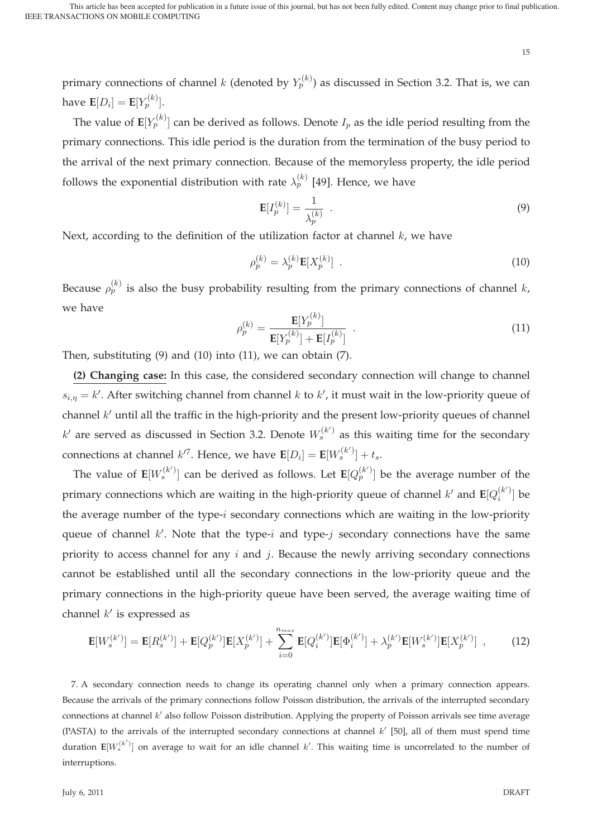primary connections of channel  $k$  (denoted by  $Y_p^{(k)}$ ) as discussed in Section 3.2. That is, we can have  $\mathbf{E}[D_i] = \mathbf{E}[Y_p^{(k)}].$ 

The value of  $\mathbf{E}[Y^{(k)}_p]$  can be derived as follows. Denote  $I_p$  as the idle period resulting from the primary connections. This idle period is the duration from the termination of the busy period to the arrival of the next primary connection. Because of the memoryless property, the idle period follows the exponential distribution with rate  $\lambda_p^{(k)}$  [49]. Hence, we have

$$
\mathbf{E}[I_p^{(k)}] = \frac{1}{\lambda_p^{(k)}} \tag{9}
$$

Next, according to the definition of the utilization factor at channel  $k$ , we have

$$
\rho_p^{(k)} = \lambda_p^{(k)} \mathbf{E}[X_p^{(k)}] \tag{10}
$$

Because  $\rho_p^{(k)}$  is also the busy probability resulting from the primary connections of channel k, we have

$$
\rho_p^{(k)} = \frac{\mathbf{E}[Y_p^{(k)}]}{\mathbf{E}[Y_p^{(k)}] + \mathbf{E}[I_p^{(k)}]} \tag{11}
$$

Then, substituting  $(9)$  and  $(10)$  into  $(11)$ , we can obtain  $(7)$ .

**(2) Changing case:** In this case, the considered secondary connection will change to channel  $s_{i,\eta} = k'$ . After switching channel from channel k to  $k'$ , it must wait in the low-priority queue of channel  $k'$  until all the traffic in the high-priority and the present low-priority queues of channel  $k'$  are served as discussed in Section 3.2. Denote  $W_s^{(k')}$  as this waiting time for the secondary connections at channel  $k^{\prime7}$ . Hence, we have  $\mathbf{E}[D_i] = \mathbf{E}[W_s^{(k^\prime)}] + t_s.$ 

The value of  $\mathbf{E}[W_s^{(k')}]$  can be derived as follows. Let  $\mathbf{E}[Q^{(k')}_p]$  be the average number of the primary connections which are waiting in the high-priority queue of channel  $k'$  and  $\mathbf{E}[Q_i^{(k')}]$  be the average number of the type-i secondary connections which are waiting in the low-priority queue of channel  $k'$ . Note that the type-i and type-j secondary connections have the same priority to access channel for any  $i$  and  $j$ . Because the newly arriving secondary connections cannot be established until all the secondary connections in the low-priority queue and the primary connections in the high-priority queue have been served, the average waiting time of channel  $k'$  is expressed as

$$
\mathbf{E}[W_s^{(k')}] = \mathbf{E}[R_s^{(k')}] + \mathbf{E}[Q_p^{(k')}] \mathbf{E}[X_p^{(k')}] + \sum_{i=0}^{n_{max}} \mathbf{E}[Q_i^{(k')}] \mathbf{E}[\Phi_i^{(k')}] + \lambda_p^{(k')} \mathbf{E}[W_s^{(k')}] \mathbf{E}[X_p^{(k')}] \quad , \tag{12}
$$

7. A secondary connection needs to change its operating channel only when a primary connection appears. Because the arrivals of the primary connections follow Poisson distribution, the arrivals of the interrupted secondary connections at channel k' also follow Poisson distribution. Applying the property of Poisson arrivals see time average (PASTA) to the arrivals of the interrupted secondary connections at channel  $k'$  [50], all of them must spend time duration  $\mathbf{E}[W^{(k')}_s]$  on average to wait for an idle channel  $k'.$  This waiting time is uncorrelated to the number of interruptions.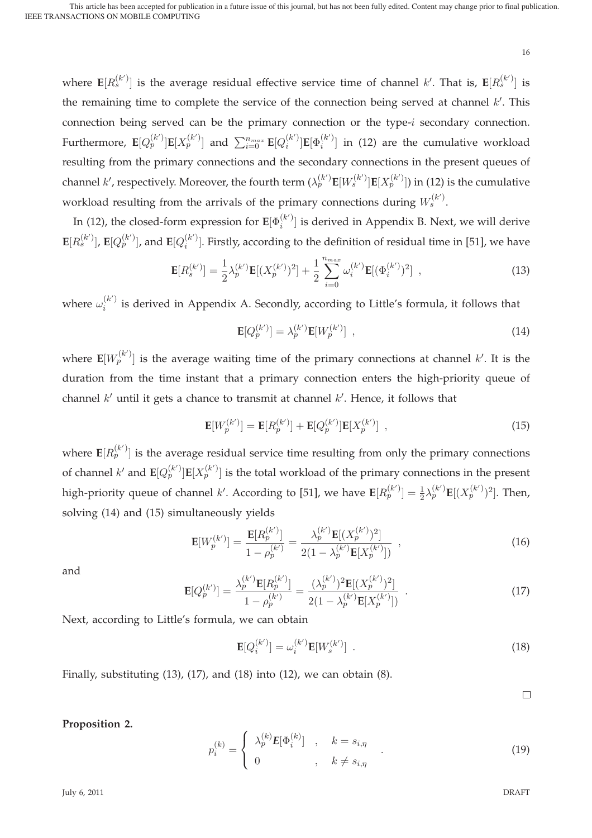where  $\mathbf{E}[R_{s}^{(k')}]$  is the average residual effective service time of channel  $k'.$  That is,  $\mathbf{E}[R_{s}^{(k')}]$  is the remaining time to complete the service of the connection being served at channel  $k'$ . This connection being served can be the primary connection or the type-i secondary connection. Furthermore,  $\mathbf{E}[Q_p^{(k')}] \mathbf{E}[X_p^{(k')}]$  and  $\sum_{i=0}^{n_{max}} \mathbf{E}[Q_i^{(k')}] \mathbf{E}[\Phi_i^{(k')}]$  in (12) are the cumulative workload resulting from the primary connections and the secondary connections in the present queues of channel  $k'$ , respectively. Moreover, the fourth term  $(\lambda^{(k')}_p \mathbf{E}[W^{(k')}_s]\mathbf{E}[X^{(k')}_p])$  in (12) is the cumulative workload resulting from the arrivals of the primary connections during  $W^{(k^\prime)}_s.$ 

In (12), the closed-form expression for  $\mathbf{E}[\Phi_i^{(k')}]$  is derived in Appendix B. Next, we will derive  $\mathbf{E}[R_s^{(k')}]$ ,  $\mathbf{E}[Q_p^{(k')}]$ , and  $\mathbf{E}[Q_i^{(k')}]$ . Firstly, according to the definition of residual time in [51], we have

$$
\mathbf{E}[R_s^{(k')}] = \frac{1}{2}\lambda_p^{(k')} \mathbf{E}[(X_p^{(k')})^2] + \frac{1}{2} \sum_{i=0}^{n_{max}} \omega_i^{(k')} \mathbf{E}[(\Phi_i^{(k')})^2] , \qquad (13)
$$

where  $\omega_i^{(k')}$  is derived in Appendix A. Secondly, according to Little's formula, it follows that

$$
\mathbf{E}[Q_p^{(k')}] = \lambda_p^{(k')} \mathbf{E}[W_p^{(k')}] \tag{14}
$$

where  $\mathbf{E}[W^{(k')}_p]$  is the average waiting time of the primary connections at channel  $k'$ . It is the duration from the time instant that a primary connection enters the high-priority queue of channel  $k'$  until it gets a chance to transmit at channel  $k'$ . Hence, it follows that

$$
\mathbf{E}[W_p^{(k)}] = \mathbf{E}[R_p^{(k)}] + \mathbf{E}[Q_p^{(k)}]\mathbf{E}[X_p^{(k)}],
$$
\n(15)

where  $\mathbf{E}[R^{(k')}_p]$  is the average residual service time resulting from only the primary connections of channel  $k'$  and  $\textbf{E}[Q^{(k')}_p] \textbf{E}[X^{(k')}_p]$  is the total workload of the primary connections in the present high-priority queue of channel k'. According to [51], we have  $\mathbf{E}[R_p^{(k')}] = \frac{1}{2} \lambda_p^{(k')} \mathbf{E}[(X_p^{(k')})^2]$ . Then, solving (14) and (15) simultaneously yields

$$
\mathbf{E}[W_p^{(k')}] = \frac{\mathbf{E}[R_p^{(k')}] }{1 - \rho_p^{(k')} } = \frac{\lambda_p^{(k')} \mathbf{E}[(X_p^{(k')})^2]}{2(1 - \lambda_p^{(k')} \mathbf{E}[X_p^{(k')}])} ,
$$
\n(16)

and

$$
\mathbf{E}[Q_p^{(k')}] = \frac{\lambda_p^{(k')} \mathbf{E}[R_p^{(k')}] }{1 - \rho_p^{(k')}} = \frac{(\lambda_p^{(k')})^2 \mathbf{E}[(X_p^{(k')})^2]}{2(1 - \lambda_p^{(k')} \mathbf{E}[X_p^{(k')}])} .
$$
\n(17)

Next, according to Little's formula, we can obtain

$$
\mathbf{E}[Q_i^{(k')}]=\omega_i^{(k')} \mathbf{E}[W_s^{(k')}] \quad . \tag{18}
$$

Finally, substituting  $(13)$ ,  $(17)$ , and  $(18)$  into  $(12)$ , we can obtain  $(8)$ .

 $\Box$ 

16

## **Proposition 2.**

$$
p_i^{(k)} = \begin{cases} \lambda_p^{(k)} E[\Phi_i^{(k)}] & , \quad k = s_{i,\eta} \\ 0 & , \quad k \neq s_{i,\eta} \end{cases}
$$
 (19)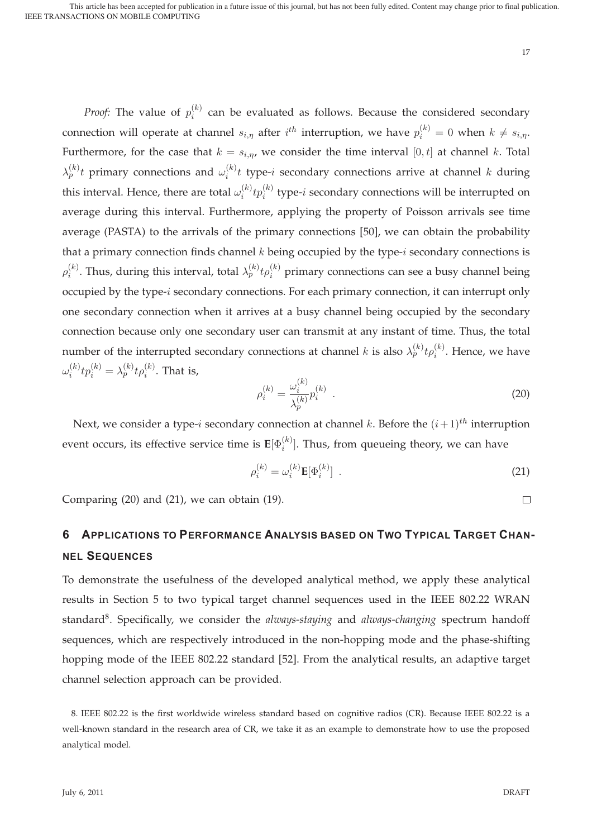*Proof:* The value of  $p_i^{(k)}$  can be evaluated as follows. Because the considered secondary connection will operate at channel  $s_{i,\eta}$  after  $i^{th}$  interruption, we have  $p_i^{(k)} = 0$  when  $k \neq s_{i,\eta}$ . Furthermore, for the case that  $k = s_{i,\eta}$ , we consider the time interval  $[0, t]$  at channel k. Total  $\lambda_p^{(k)} t$  primary connections and  $\omega_i^{(k)} t$  type-i secondary connections arrive at channel k during this interval. Hence, there are total  $\omega_i^{(k)}tp_i^{(k)}$  type-i secondary connections will be interrupted on average during this interval. Furthermore, applying the property of Poisson arrivals see time average (PASTA) to the arrivals of the primary connections [50], we can obtain the probability that a primary connection finds channel  $k$  being occupied by the type- $i$  secondary connections is  $\rho_i^{(k)}$ . Thus, during this interval, total  $\lambda_p^{(k)} t \rho_i^{(k)}$  primary connections can see a busy channel being occupied by the type-i secondary connections. For each primary connection, it can interrupt only one secondary connection when it arrives at a busy channel being occupied by the secondary connection because only one secondary user can transmit at any instant of time. Thus, the total number of the interrupted secondary connections at channel  $k$  is also  $\lambda_p^{(k)} t \rho_i^{(k)}$ . Hence, we have  $\omega_i^{(k)} t p_i^{(k)} = \lambda_p^{(k)} t \rho_i^{(k)}.$  That is,

$$
\rho_i^{(k)} = \frac{\omega_i^{(k)}}{\lambda_p^{(k)}} p_i^{(k)} \tag{20}
$$

Next, we consider a type-*i* secondary connection at channel k. Before the  $(i+1)^{th}$  interruption event occurs, its effective service time is  $\mathbf{E}[\Phi_i^{(k)}].$  Thus, from queueing theory, we can have

$$
\rho_i^{(k)} = \omega_i^{(k)} \mathbf{E}[\Phi_i^{(k)}] \tag{21}
$$

Comparing (20) and (21), we can obtain (19).

# **6 APPLICATIONS TO PERFORMANCE ANALYSIS BASED ON TWO TYPICAL TARGET CHAN-NEL SEQUENCES**

To demonstrate the usefulness of the developed analytical method, we apply these analytical results in Section 5 to two typical target channel sequences used in the IEEE 802.22 WRAN standard8. Specifically, we consider the *always-staying* and *always-changing* spectrum handoff sequences, which are respectively introduced in the non-hopping mode and the phase-shifting hopping mode of the IEEE 802.22 standard [52]. From the analytical results, an adaptive target channel selection approach can be provided.

 $\Box$ 

<sup>8.</sup> IEEE 802.22 is the first worldwide wireless standard based on cognitive radios (CR). Because IEEE 802.22 is a well-known standard in the research area of CR, we take it as an example to demonstrate how to use the proposed analytical model.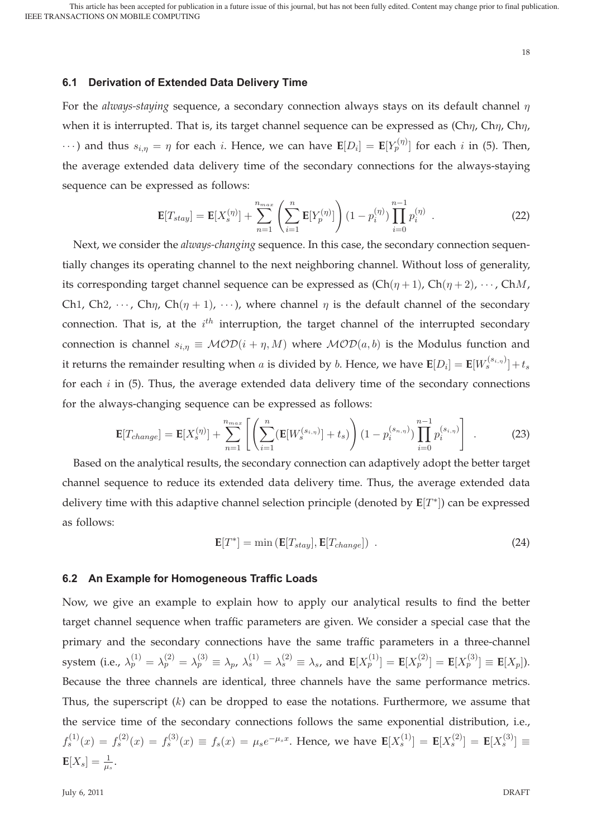18

# **6.1 Derivation of Extended Data Delivery Time**

For the *always-staying* sequence, a secondary connection always stays on its default channel  $\eta$ when it is interrupted. That is, its target channel sequence can be expressed as  $(\text{Ch}\eta, \text{Ch}\eta, \text{Ch}\eta, \text{Ch}\eta)$  $\cdots$ ) and thus  $s_{i,\eta} = \eta$  for each i. Hence, we can have  $\mathbf{E}[D_i] = \mathbf{E}[Y_p^{(\eta)}]$  for each i in (5). Then, the average extended data delivery time of the secondary connections for the always-staying sequence can be expressed as follows:

$$
\mathbf{E}[T_{stay}] = \mathbf{E}[X_s^{(\eta)}] + \sum_{n=1}^{n_{max}} \left( \sum_{i=1}^n \mathbf{E}[Y_p^{(\eta)}] \right) (1 - p_i^{(\eta)}) \prod_{i=0}^{n-1} p_i^{(\eta)}.
$$
 (22)

Next, we consider the *always-changing* sequence. In this case, the secondary connection sequentially changes its operating channel to the next neighboring channel. Without loss of generality, its corresponding target channel sequence can be expressed as  $(Ch(\eta+1), Ch(\eta+2), \cdots, ChM,$ Ch1, Ch2,  $\cdots$ , Ch $\eta$ , Ch $(\eta + 1)$ ,  $\cdots$ ), where channel  $\eta$  is the default channel of the secondary connection. That is, at the  $i^{th}$  interruption, the target channel of the interrupted secondary connection is channel  $s_{i,n} \equiv \mathcal{MOD}(i + \eta, M)$  where  $\mathcal{MOD}(a, b)$  is the Modulus function and it returns the remainder resulting when a is divided by b. Hence, we have  $\mathbf{E}[D_i] = \mathbf{E}[W_s^{(s_{i,\eta})}] + t_s$ for each  $i$  in (5). Thus, the average extended data delivery time of the secondary connections for the always-changing sequence can be expressed as follows:

$$
\mathbf{E}[T_{change}] = \mathbf{E}[X_s^{(\eta)}] + \sum_{n=1}^{n_{max}} \left[ \left( \sum_{i=1}^n (\mathbf{E}[W_s^{(s_{i,\eta})}] + t_s) \right) (1 - p_i^{(s_{n,\eta})}) \prod_{i=0}^{n-1} p_i^{(s_{i,\eta})} \right] . \tag{23}
$$

Based on the analytical results, the secondary connection can adaptively adopt the better target channel sequence to reduce its extended data delivery time. Thus, the average extended data delivery time with this adaptive channel selection principle (denoted by **E**[T∗]) can be expressed as follows:

$$
\mathbf{E}[T^*] = \min\left(\mathbf{E}[T_{stay}], \mathbf{E}[T_{change}]\right) \tag{24}
$$

#### **6.2 An Example for Homogeneous Traffic Loads**

Now, we give an example to explain how to apply our analytical results to find the better target channel sequence when traffic parameters are given. We consider a special case that the primary and the secondary connections have the same traffic parameters in a three-channel system (i.e.,  $\lambda_p^{(1)} = \lambda_p^{(2)} = \lambda_p^{(3)} \equiv \lambda_p$ ,  $\lambda_s^{(1)} = \lambda_s^{(2)} \equiv \lambda_s$ , and  $\mathbf{E}[X_p^{(1)}] = \mathbf{E}[X_p^{(2)}] = \mathbf{E}[X_p^{(3)}] \equiv \mathbf{E}[X_p].$ Because the three channels are identical, three channels have the same performance metrics. Thus, the superscript  $(k)$  can be dropped to ease the notations. Furthermore, we assume that the service time of the secondary connections follows the same exponential distribution, i.e.,  $f_s^{(1)}(x) = f_s^{(2)}(x) = f_s^{(3)}(x) \equiv f_s(x) = \mu_s e^{-\mu_s x}$ . Hence, we have  $\mathbf{E}[X_s^{(1)}] = \mathbf{E}[X_s^{(2)}] = \mathbf{E}[X_s^{(3)}] \equiv$  $$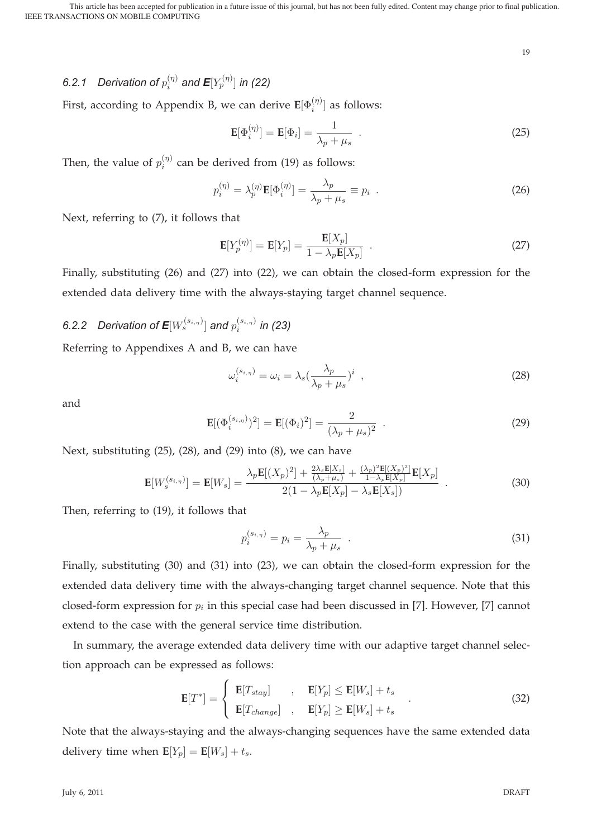# 6.2.1 Derivation of  $p_i^{(\eta)}$  and  $\textsf{E}[Y^{(\eta)}_p]$  in (22)

First, according to Appendix B, we can derive  $\mathbf{E}[\Phi_i^{(\eta)}]$  as follows:

$$
\mathbf{E}[\Phi_i^{(\eta)}] = \mathbf{E}[\Phi_i] = \frac{1}{\lambda_p + \mu_s} \tag{25}
$$

Then, the value of  $p_i^{(\eta)}$  can be derived from (19) as follows:

$$
p_i^{(\eta)} = \lambda_p^{(\eta)} \mathbf{E}[\Phi_i^{(\eta)}] = \frac{\lambda_p}{\lambda_p + \mu_s} \equiv p_i
$$
 (26)

Next, referring to (7), it follows that

$$
\mathbf{E}[Y_p^{(\eta)}] = \mathbf{E}[Y_p] = \frac{\mathbf{E}[X_p]}{1 - \lambda_p \mathbf{E}[X_p]} \quad . \tag{27}
$$

Finally, substituting (26) and (27) into (22), we can obtain the closed-form expression for the extended data delivery time with the always-staying target channel sequence.

# 6.2.2 Derivation of  $\textsf{E}[W_{s}^{(s_{i,\eta})}]$  and  $p_{i}^{(s_{i,\eta})}$  in (23)

Referring to Appendixes A and B, we can have

$$
\omega_i^{(s_{i,\eta})} = \omega_i = \lambda_s \left(\frac{\lambda_p}{\lambda_p + \mu_s}\right)^i \tag{28}
$$

and

$$
\mathbf{E}[(\Phi_i^{(s_{i,\eta})})^2] = \mathbf{E}[(\Phi_i)^2] = \frac{2}{(\lambda_p + \mu_s)^2} \quad . \tag{29}
$$

Next, substituting (25), (28), and (29) into (8), we can have

$$
\mathbf{E}[W_s^{(s_{i,\eta})}] = \mathbf{E}[W_s] = \frac{\lambda_p \mathbf{E}[(X_p)^2] + \frac{2\lambda_s \mathbf{E}[X_s]}{(\lambda_p + \mu_s)} + \frac{(\lambda_p)^2 \mathbf{E}[(X_p)^2]}{1 - \lambda_p \mathbf{E}[X_p]} \mathbf{E}[X_p]}{2(1 - \lambda_p \mathbf{E}[X_p] - \lambda_s \mathbf{E}[X_s])} \tag{30}
$$

Then, referring to (19), it follows that

$$
p_i^{(s_{i,\eta})} = p_i = \frac{\lambda_p}{\lambda_p + \mu_s} \tag{31}
$$

Finally, substituting (30) and (31) into (23), we can obtain the closed-form expression for the extended data delivery time with the always-changing target channel sequence. Note that this closed-form expression for  $p_i$  in this special case had been discussed in [7]. However, [7] cannot extend to the case with the general service time distribution.

In summary, the average extended data delivery time with our adaptive target channel selection approach can be expressed as follows:

$$
\mathbf{E}[T^*] = \begin{cases} \mathbf{E}[T_{stay}] & , \mathbf{E}[Y_p] \le \mathbf{E}[W_s] + t_s \\ \mathbf{E}[T_{change}] & , \mathbf{E}[Y_p] \ge \mathbf{E}[W_s] + t_s \end{cases}
$$
(32)

Note that the always-staying and the always-changing sequences have the same extended data delivery time when  $\mathbf{E}[Y_p] = \mathbf{E}[W_s] + t_s$ .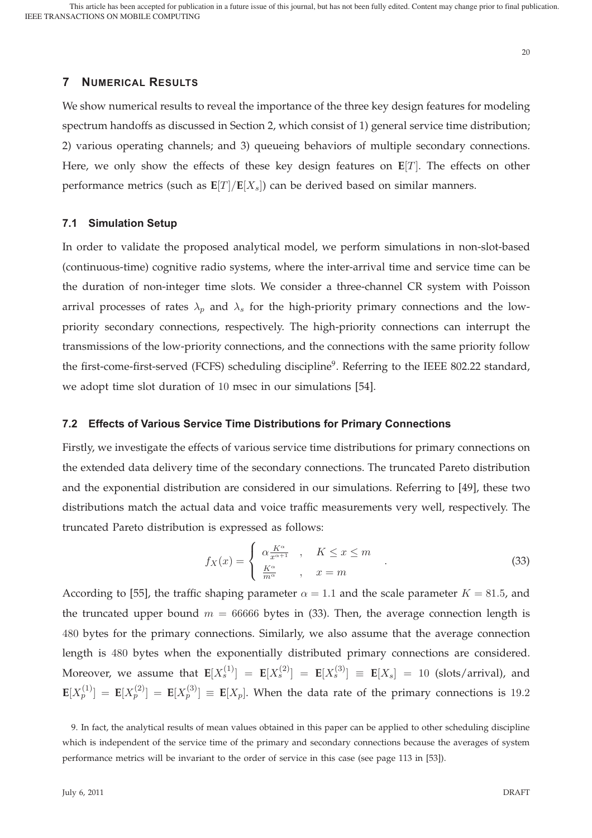# **7 NUMERICAL RESULTS**

We show numerical results to reveal the importance of the three key design features for modeling spectrum handoffs as discussed in Section 2, which consist of 1) general service time distribution; 2) various operating channels; and 3) queueing behaviors of multiple secondary connections. Here, we only show the effects of these key design features on **E**[T]. The effects on other performance metrics (such as  $E[T]/E[X_s]$ ) can be derived based on similar manners.

#### **7.1 Simulation Setup**

In order to validate the proposed analytical model, we perform simulations in non-slot-based (continuous-time) cognitive radio systems, where the inter-arrival time and service time can be the duration of non-integer time slots. We consider a three-channel CR system with Poisson arrival processes of rates  $\lambda_p$  and  $\lambda_s$  for the high-priority primary connections and the lowpriority secondary connections, respectively. The high-priority connections can interrupt the transmissions of the low-priority connections, and the connections with the same priority follow the first-come-first-served (FCFS) scheduling discipline<sup>9</sup>. Referring to the IEEE 802.22 standard, we adopt time slot duration of 10 msec in our simulations [54].

#### **7.2 Effects of Various Service Time Distributions for Primary Connections**

Firstly, we investigate the effects of various service time distributions for primary connections on the extended data delivery time of the secondary connections. The truncated Pareto distribution and the exponential distribution are considered in our simulations. Referring to [49], these two distributions match the actual data and voice traffic measurements very well, respectively. The truncated Pareto distribution is expressed as follows:

$$
f_X(x) = \begin{cases} \alpha \frac{K^{\alpha}}{x^{\alpha+1}} & , \quad K \leq x \leq m \\ \frac{K^{\alpha}}{m^{\alpha}} & , \quad x = m \end{cases}
$$
 (33)

According to [55], the traffic shaping parameter  $\alpha = 1.1$  and the scale parameter  $K = 81.5$ , and the truncated upper bound  $m = 66666$  bytes in (33). Then, the average connection length is 480 bytes for the primary connections. Similarly, we also assume that the average connection length is 480 bytes when the exponentially distributed primary connections are considered. Moreover, we assume that  $\mathbf{E}[X_s^{(1)}] = \mathbf{E}[X_s^{(2)}] = \mathbf{E}[X_s^{(3)}] \equiv \mathbf{E}[X_s] = 10$  (slots/arrival), and  $\mathbf{E}[X_p^{(1)}] = \mathbf{E}[X_p^{(2)}] = \mathbf{E}[X_p^{(3)}] \equiv \mathbf{E}[X_p].$  When the data rate of the primary connections is 19.2

<sup>9.</sup> In fact, the analytical results of mean values obtained in this paper can be applied to other scheduling discipline which is independent of the service time of the primary and secondary connections because the averages of system performance metrics will be invariant to the order of service in this case (see page 113 in [53]).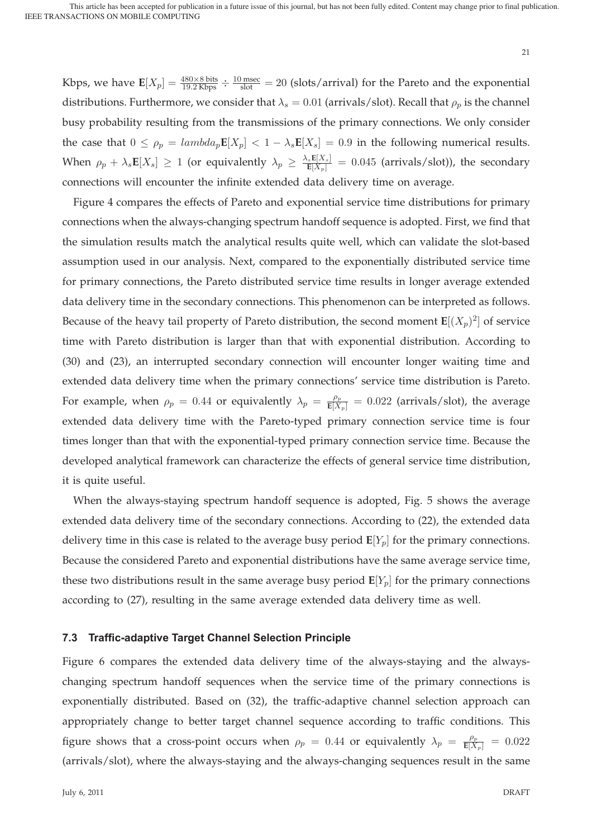Kbps, we have  $\mathbf{E}[X_p] = \frac{480 \times 8 \text{ bits}}{19.2 \text{ Kbps}} \div \frac{10 \text{ msec}}{\text{ slot}} = 20$  (slots/arrival) for the Pareto and the exponential distributions. Furthermore, we consider that  $\lambda_s = 0.01$  (arrivals/slot). Recall that  $\rho_p$  is the channel busy probability resulting from the transmissions of the primary connections. We only consider the case that  $0 \le \rho_p = \text{lambda}_p \mathbf{E}[X_p] < 1 - \lambda_s \mathbf{E}[X_s] = 0.9$  in the following numerical results. When  $\rho_p + \lambda_s \mathbf{E}[X_s] \ge 1$  (or equivalently  $\lambda_p \ge \frac{\lambda_s \mathbf{E}[X_s]}{\mathbf{E}[X_p]} = 0.045$  (arrivals/slot)), the secondary connections will encounter the infinite extended data delivery time on average.

Figure 4 compares the effects of Pareto and exponential service time distributions for primary connections when the always-changing spectrum handoff sequence is adopted. First, we find that the simulation results match the analytical results quite well, which can validate the slot-based assumption used in our analysis. Next, compared to the exponentially distributed service time for primary connections, the Pareto distributed service time results in longer average extended data delivery time in the secondary connections. This phenomenon can be interpreted as follows. Because of the heavy tail property of Pareto distribution, the second moment  $\mathbf{E}[(X_p)^2]$  of service time with Pareto distribution is larger than that with exponential distribution. According to (30) and (23), an interrupted secondary connection will encounter longer waiting time and extended data delivery time when the primary connections' service time distribution is Pareto. For example, when  $\rho_p = 0.44$  or equivalently  $\lambda_p = \frac{\rho_p}{E[X_p]} = 0.022$  (arrivals/slot), the average extended data delivery time with the Pareto-typed primary connection service time is four times longer than that with the exponential-typed primary connection service time. Because the developed analytical framework can characterize the effects of general service time distribution, it is quite useful.

When the always-staying spectrum handoff sequence is adopted, Fig. 5 shows the average extended data delivery time of the secondary connections. According to (22), the extended data delivery time in this case is related to the average busy period  $E[Y_p]$  for the primary connections. Because the considered Pareto and exponential distributions have the same average service time, these two distributions result in the same average busy period  $\mathbf{E}[Y_p]$  for the primary connections according to (27), resulting in the same average extended data delivery time as well.

# **7.3 Traffic-adaptive Target Channel Selection Principle**

Figure 6 compares the extended data delivery time of the always-staying and the alwayschanging spectrum handoff sequences when the service time of the primary connections is exponentially distributed. Based on (32), the traffic-adaptive channel selection approach can appropriately change to better target channel sequence according to traffic conditions. This figure shows that a cross-point occurs when  $\rho_p = 0.44$  or equivalently  $\lambda_p = \frac{\rho_p}{E[X_p]} = 0.022$ (arrivals/slot), where the always-staying and the always-changing sequences result in the same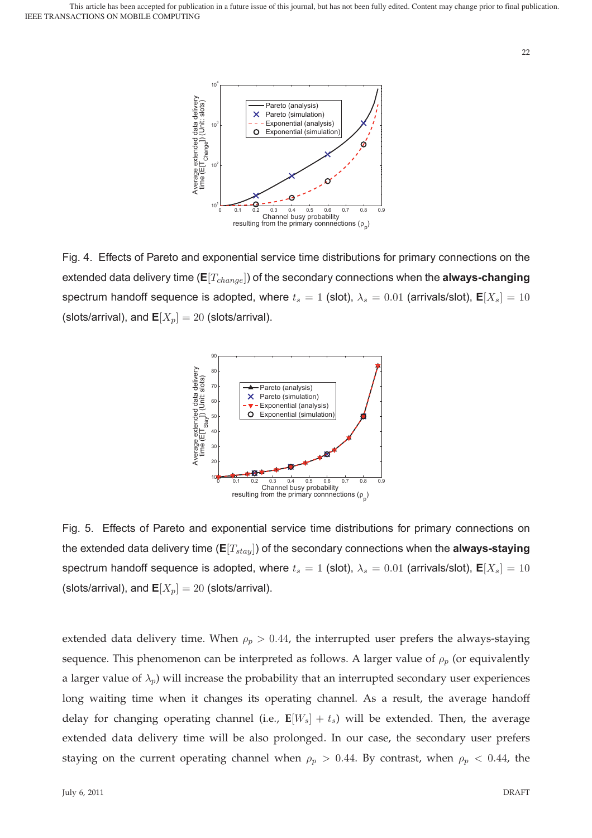

Fig. 4. Effects of Pareto and exponential service time distributions for primary connections on the extended data delivery time  $(E[T_{channel}]$ ) of the secondary connections when the **always-changing** spectrum handoff sequence is adopted, where  $t_s = 1$  (slot),  $\lambda_s = 0.01$  (arrivals/slot),  $\mathbf{E}[X_s] = 10$ (slots/arrival), and  $\mathbf{E}[X_p] = 20$  (slots/arrival).



Fig. 5. Effects of Pareto and exponential service time distributions for primary connections on the extended data delivery time  $(E[T_{stay}])$  of the secondary connections when the **always-staying** spectrum handoff sequence is adopted, where  $t_s = 1$  (slot),  $\lambda_s = 0.01$  (arrivals/slot),  $\mathbf{E}[X_s] = 10$ (slots/arrival), and  $\mathbf{E}[X_p] = 20$  (slots/arrival).

extended data delivery time. When  $\rho_p > 0.44$ , the interrupted user prefers the always-staying sequence. This phenomenon can be interpreted as follows. A larger value of  $\rho_p$  (or equivalently a larger value of  $\lambda_p$ ) will increase the probability that an interrupted secondary user experiences long waiting time when it changes its operating channel. As a result, the average handoff delay for changing operating channel (i.e.,  $\mathbf{E}[W_s] + t_s$ ) will be extended. Then, the average extended data delivery time will be also prolonged. In our case, the secondary user prefers staying on the current operating channel when  $\rho_p > 0.44$ . By contrast, when  $\rho_p < 0.44$ , the

22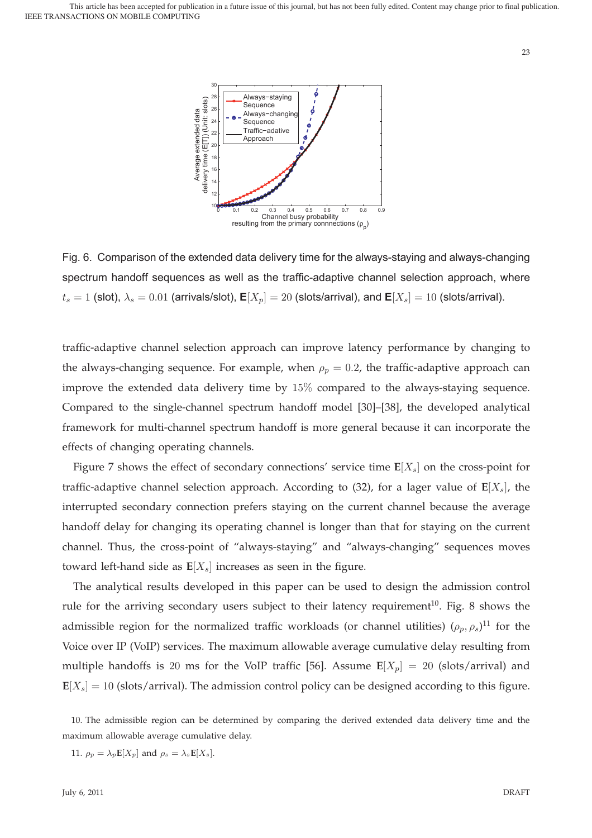

Fig. 6. Comparison of the extended data delivery time for the always-staying and always-changing spectrum handoff sequences as well as the traffic-adaptive channel selection approach, where  $t_s = 1$  (slot),  $\lambda_s = 0.01$  (arrivals/slot),  $\mathbf{E}[X_p] = 20$  (slots/arrival), and  $\mathbf{E}[X_s] = 10$  (slots/arrival).

traffic-adaptive channel selection approach can improve latency performance by changing to the always-changing sequence. For example, when  $\rho_p = 0.2$ , the traffic-adaptive approach can improve the extended data delivery time by 15% compared to the always-staying sequence. Compared to the single-channel spectrum handoff model [30]–[38], the developed analytical framework for multi-channel spectrum handoff is more general because it can incorporate the effects of changing operating channels.

Figure 7 shows the effect of secondary connections' service time  $E[X_s]$  on the cross-point for traffic-adaptive channel selection approach. According to (32), for a lager value of  $E[X_s]$ , the interrupted secondary connection prefers staying on the current channel because the average handoff delay for changing its operating channel is longer than that for staying on the current channel. Thus, the cross-point of "always-staying" and "always-changing" sequences moves toward left-hand side as  $E[X_s]$  increases as seen in the figure.

The analytical results developed in this paper can be used to design the admission control rule for the arriving secondary users subject to their latency requirement<sup>10</sup>. Fig. 8 shows the admissible region for the normalized traffic workloads (or channel utilities)  $(\rho_p, \rho_s)^{11}$  for the Voice over IP (VoIP) services. The maximum allowable average cumulative delay resulting from multiple handoffs is 20 ms for the VoIP traffic [56]. Assume  $E[X_p] = 20$  (slots/arrival) and  $E[X_s] = 10$  (slots/arrival). The admission control policy can be designed according to this figure.

10. The admissible region can be determined by comparing the derived extended data delivery time and the maximum allowable average cumulative delay.

11.  $\rho_p = \lambda_p \mathbf{E}[X_p]$  and  $\rho_s = \lambda_s \mathbf{E}[X_s]$ .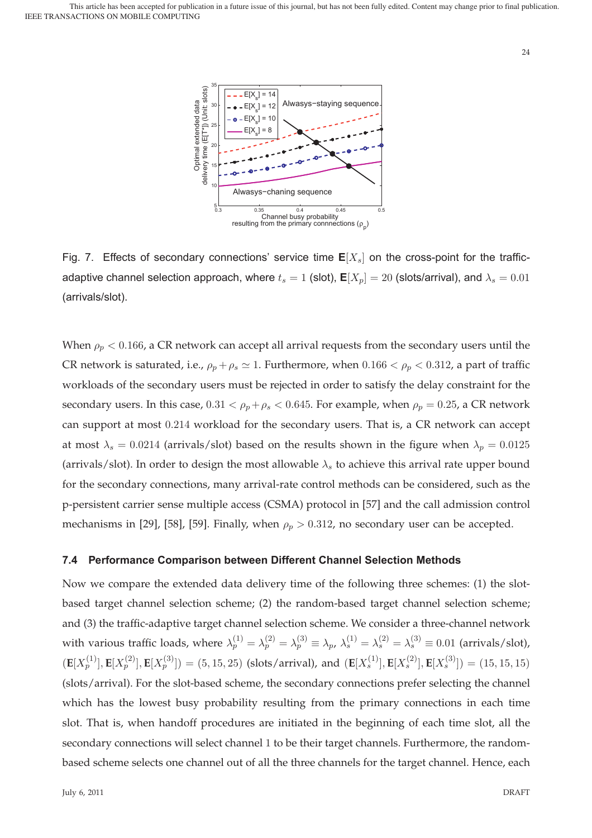

Fig. 7. Effects of secondary connections' service time  $E[X_s]$  on the cross-point for the trafficadaptive channel selection approach, where  $t_s = 1$  (slot),  $\mathbf{E}[X_p] = 20$  (slots/arrival), and  $\lambda_s = 0.01$ (arrivals/slot).

When  $\rho_p < 0.166$ , a CR network can accept all arrival requests from the secondary users until the CR network is saturated, i.e.,  $\rho_p + \rho_s \simeq 1$ . Furthermore, when  $0.166 < \rho_p < 0.312$ , a part of traffic workloads of the secondary users must be rejected in order to satisfy the delay constraint for the secondary users. In this case,  $0.31 < \rho_p + \rho_s < 0.645$ . For example, when  $\rho_p = 0.25$ , a CR network can support at most 0.214 workload for the secondary users. That is, a CR network can accept at most  $\lambda_s = 0.0214$  (arrivals/slot) based on the results shown in the figure when  $\lambda_p = 0.0125$ (arrivals/slot). In order to design the most allowable  $\lambda_s$  to achieve this arrival rate upper bound for the secondary connections, many arrival-rate control methods can be considered, such as the p-persistent carrier sense multiple access (CSMA) protocol in [57] and the call admission control mechanisms in [29], [58], [59]. Finally, when  $\rho_p > 0.312$ , no secondary user can be accepted.

## **7.4 Performance Comparison between Different Channel Selection Methods**

Now we compare the extended data delivery time of the following three schemes: (1) the slotbased target channel selection scheme; (2) the random-based target channel selection scheme; and (3) the traffic-adaptive target channel selection scheme. We consider a three-channel network with various traffic loads, where  $\lambda_p^{(1)} = \lambda_p^{(2)} = \lambda_p^{(3)} \equiv \lambda_p$ ,  $\lambda_s^{(1)} = \lambda_s^{(2)} = \lambda_s^{(3)} \equiv 0.01$  (arrivals/slot),  $(\mathbf{E}[X_p^{(1)}], \mathbf{E}[X_p^{(2)}], \mathbf{E}[X_p^{(3)}]) = (5, 15, 25)$  (slots/arrival), and  $(\mathbf{E}[X_s^{(1)}], \mathbf{E}[X_s^{(2)}], \mathbf{E}[X_s^{(3)}]) = (15, 15, 15)$ (slots/arrival). For the slot-based scheme, the secondary connections prefer selecting the channel which has the lowest busy probability resulting from the primary connections in each time slot. That is, when handoff procedures are initiated in the beginning of each time slot, all the secondary connections will select channel 1 to be their target channels. Furthermore, the randombased scheme selects one channel out of all the three channels for the target channel. Hence, each

24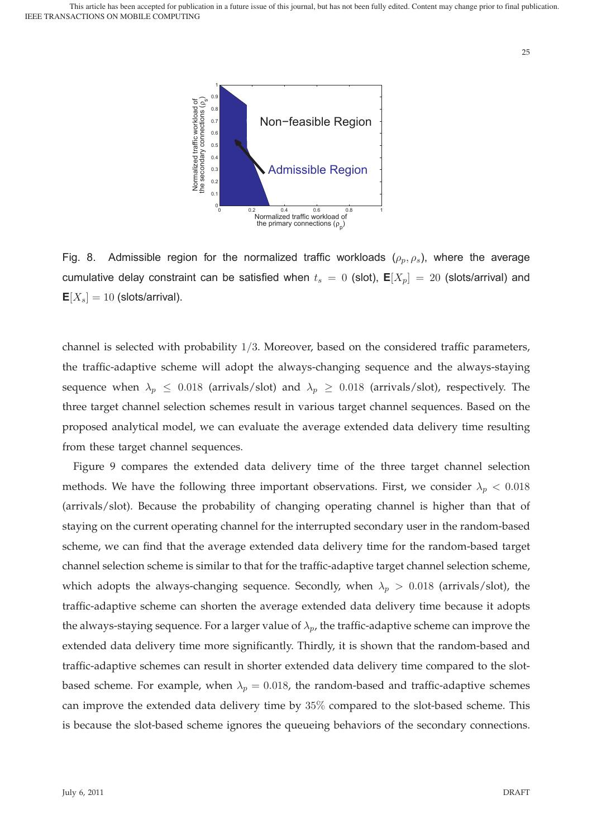

Fig. 8. Admissible region for the normalized traffic workloads  $(\rho_p, \rho_s)$ , where the average cumulative delay constraint can be satisfied when  $t_s = 0$  (slot),  $E[X_p] = 20$  (slots/arrival) and  $E[X_s] = 10$  (slots/arrival).

channel is selected with probability 1/3. Moreover, based on the considered traffic parameters, the traffic-adaptive scheme will adopt the always-changing sequence and the always-staying sequence when  $\lambda_p \leq 0.018$  (arrivals/slot) and  $\lambda_p \geq 0.018$  (arrivals/slot), respectively. The three target channel selection schemes result in various target channel sequences. Based on the proposed analytical model, we can evaluate the average extended data delivery time resulting from these target channel sequences.

Figure 9 compares the extended data delivery time of the three target channel selection methods. We have the following three important observations. First, we consider  $\lambda_p < 0.018$ (arrivals/slot). Because the probability of changing operating channel is higher than that of staying on the current operating channel for the interrupted secondary user in the random-based scheme, we can find that the average extended data delivery time for the random-based target channel selection scheme is similar to that for the traffic-adaptive target channel selection scheme, which adopts the always-changing sequence. Secondly, when  $\lambda_p > 0.018$  (arrivals/slot), the traffic-adaptive scheme can shorten the average extended data delivery time because it adopts the always-staying sequence. For a larger value of  $\lambda_p$ , the traffic-adaptive scheme can improve the extended data delivery time more significantly. Thirdly, it is shown that the random-based and traffic-adaptive schemes can result in shorter extended data delivery time compared to the slotbased scheme. For example, when  $\lambda_p = 0.018$ , the random-based and traffic-adaptive schemes can improve the extended data delivery time by 35% compared to the slot-based scheme. This is because the slot-based scheme ignores the queueing behaviors of the secondary connections.

25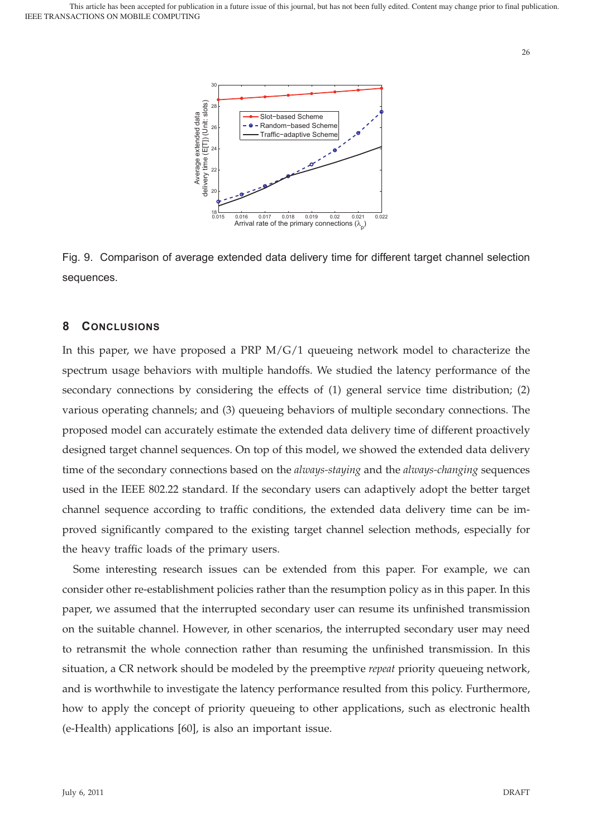



## **8 CONCLUSIONS**

In this paper, we have proposed a PRP M/G/1 queueing network model to characterize the spectrum usage behaviors with multiple handoffs. We studied the latency performance of the secondary connections by considering the effects of (1) general service time distribution; (2) various operating channels; and (3) queueing behaviors of multiple secondary connections. The proposed model can accurately estimate the extended data delivery time of different proactively designed target channel sequences. On top of this model, we showed the extended data delivery time of the secondary connections based on the *always-staying* and the *always-changing* sequences used in the IEEE 802.22 standard. If the secondary users can adaptively adopt the better target channel sequence according to traffic conditions, the extended data delivery time can be improved significantly compared to the existing target channel selection methods, especially for the heavy traffic loads of the primary users.

Some interesting research issues can be extended from this paper. For example, we can consider other re-establishment policies rather than the resumption policy as in this paper. In this paper, we assumed that the interrupted secondary user can resume its unfinished transmission on the suitable channel. However, in other scenarios, the interrupted secondary user may need to retransmit the whole connection rather than resuming the unfinished transmission. In this situation, a CR network should be modeled by the preemptive *repeat* priority queueing network, and is worthwhile to investigate the latency performance resulted from this policy. Furthermore, how to apply the concept of priority queueing to other applications, such as electronic health (e-Health) applications [60], is also an important issue.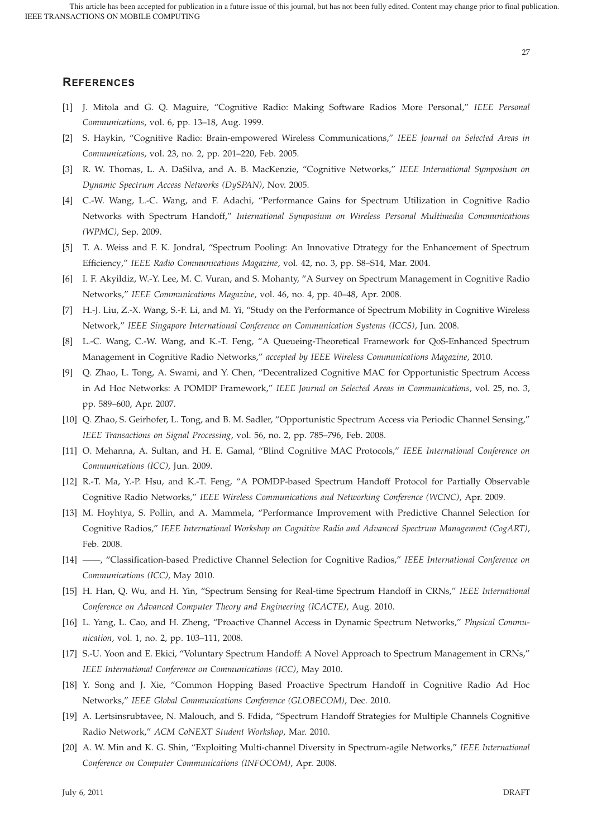# **REFERENCES**

- [1] J. Mitola and G. Q. Maguire, "Cognitive Radio: Making Software Radios More Personal," *IEEE Personal Communications*, vol. 6, pp. 13–18, Aug. 1999.
- [2] S. Haykin, "Cognitive Radio: Brain-empowered Wireless Communications," *IEEE Journal on Selected Areas in Communications*, vol. 23, no. 2, pp. 201–220, Feb. 2005.
- [3] R. W. Thomas, L. A. DaSilva, and A. B. MacKenzie, "Cognitive Networks," *IEEE International Symposium on Dynamic Spectrum Access Networks (DySPAN)*, Nov. 2005.
- [4] C.-W. Wang, L.-C. Wang, and F. Adachi, "Performance Gains for Spectrum Utilization in Cognitive Radio Networks with Spectrum Handoff," *International Symposium on Wireless Personal Multimedia Communications (WPMC)*, Sep. 2009.
- [5] T. A. Weiss and F. K. Jondral, "Spectrum Pooling: An Innovative Dtrategy for the Enhancement of Spectrum Efficiency," *IEEE Radio Communications Magazine*, vol. 42, no. 3, pp. S8–S14, Mar. 2004.
- [6] I. F. Akyildiz, W.-Y. Lee, M. C. Vuran, and S. Mohanty, "A Survey on Spectrum Management in Cognitive Radio Networks," *IEEE Communications Magazine*, vol. 46, no. 4, pp. 40–48, Apr. 2008.
- [7] H.-J. Liu, Z.-X. Wang, S.-F. Li, and M. Yi, "Study on the Performance of Spectrum Mobility in Cognitive Wireless Network," *IEEE Singapore International Conference on Communication Systems (ICCS)*, Jun. 2008.
- [8] L.-C. Wang, C.-W. Wang, and K.-T. Feng, "A Queueing-Theoretical Framework for QoS-Enhanced Spectrum Management in Cognitive Radio Networks," *accepted by IEEE Wireless Communications Magazine*, 2010.
- [9] Q. Zhao, L. Tong, A. Swami, and Y. Chen, "Decentralized Cognitive MAC for Opportunistic Spectrum Access in Ad Hoc Networks: A POMDP Framework," *IEEE Journal on Selected Areas in Communications*, vol. 25, no. 3, pp. 589–600, Apr. 2007.
- [10] Q. Zhao, S. Geirhofer, L. Tong, and B. M. Sadler, "Opportunistic Spectrum Access via Periodic Channel Sensing," *IEEE Transactions on Signal Processing*, vol. 56, no. 2, pp. 785–796, Feb. 2008.
- [11] O. Mehanna, A. Sultan, and H. E. Gamal, "Blind Cognitive MAC Protocols," *IEEE International Conference on Communications (ICC)*, Jun. 2009.
- [12] R.-T. Ma, Y.-P. Hsu, and K.-T. Feng, "A POMDP-based Spectrum Handoff Protocol for Partially Observable Cognitive Radio Networks," *IEEE Wireless Communications and Networking Conference (WCNC)*, Apr. 2009.
- [13] M. Hoyhtya, S. Pollin, and A. Mammela, "Performance Improvement with Predictive Channel Selection for Cognitive Radios," *IEEE International Workshop on Cognitive Radio and Advanced Spectrum Management (CogART)*, Feb. 2008.
- [14] ——, "Classification-based Predictive Channel Selection for Cognitive Radios," *IEEE International Conference on Communications (ICC)*, May 2010.
- [15] H. Han, Q. Wu, and H. Yin, "Spectrum Sensing for Real-time Spectrum Handoff in CRNs," *IEEE International Conference on Advanced Computer Theory and Engineering (ICACTE)*, Aug. 2010.
- [16] L. Yang, L. Cao, and H. Zheng, "Proactive Channel Access in Dynamic Spectrum Networks," *Physical Communication*, vol. 1, no. 2, pp. 103–111, 2008.
- [17] S.-U. Yoon and E. Ekici, "Voluntary Spectrum Handoff: A Novel Approach to Spectrum Management in CRNs," *IEEE International Conference on Communications (ICC)*, May 2010.
- [18] Y. Song and J. Xie, "Common Hopping Based Proactive Spectrum Handoff in Cognitive Radio Ad Hoc Networks," *IEEE Global Communications Conference (GLOBECOM)*, Dec. 2010.
- [19] A. Lertsinsrubtavee, N. Malouch, and S. Fdida, "Spectrum Handoff Strategies for Multiple Channels Cognitive Radio Network," *ACM CoNEXT Student Workshop*, Mar. 2010.
- [20] A. W. Min and K. G. Shin, "Exploiting Multi-channel Diversity in Spectrum-agile Networks," *IEEE International Conference on Computer Communications (INFOCOM)*, Apr. 2008.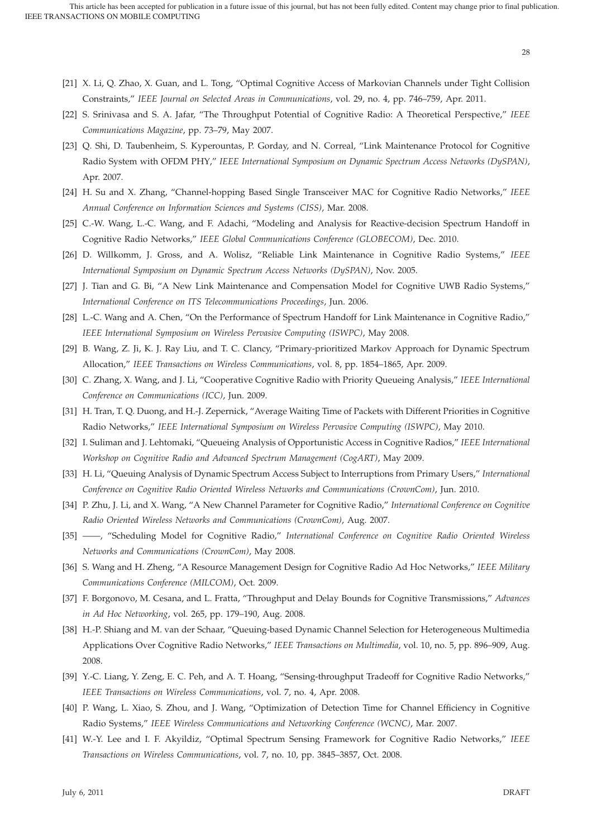- [21] X. Li, Q. Zhao, X. Guan, and L. Tong, "Optimal Cognitive Access of Markovian Channels under Tight Collision Constraints," *IEEE Journal on Selected Areas in Communications*, vol. 29, no. 4, pp. 746–759, Apr. 2011.
- [22] S. Srinivasa and S. A. Jafar, "The Throughput Potential of Cognitive Radio: A Theoretical Perspective," *IEEE Communications Magazine*, pp. 73–79, May 2007.
- [23] Q. Shi, D. Taubenheim, S. Kyperountas, P. Gorday, and N. Correal, "Link Maintenance Protocol for Cognitive Radio System with OFDM PHY," *IEEE International Symposium on Dynamic Spectrum Access Networks (DySPAN)*, Apr. 2007.
- [24] H. Su and X. Zhang, "Channel-hopping Based Single Transceiver MAC for Cognitive Radio Networks," *IEEE Annual Conference on Information Sciences and Systems (CISS)*, Mar. 2008.
- [25] C.-W. Wang, L.-C. Wang, and F. Adachi, "Modeling and Analysis for Reactive-decision Spectrum Handoff in Cognitive Radio Networks," *IEEE Global Communications Conference (GLOBECOM)*, Dec. 2010.
- [26] D. Willkomm, J. Gross, and A. Wolisz, "Reliable Link Maintenance in Cognitive Radio Systems," *IEEE International Symposium on Dynamic Spectrum Access Networks (DySPAN)*, Nov. 2005.
- [27] J. Tian and G. Bi, "A New Link Maintenance and Compensation Model for Cognitive UWB Radio Systems," *International Conference on ITS Telecommunications Proceedings*, Jun. 2006.
- [28] L.-C. Wang and A. Chen, "On the Performance of Spectrum Handoff for Link Maintenance in Cognitive Radio," *IEEE International Symposium on Wireless Pervasive Computing (ISWPC)*, May 2008.
- [29] B. Wang, Z. Ji, K. J. Ray Liu, and T. C. Clancy, "Primary-prioritized Markov Approach for Dynamic Spectrum Allocation," *IEEE Transactions on Wireless Communications*, vol. 8, pp. 1854–1865, Apr. 2009.
- [30] C. Zhang, X. Wang, and J. Li, "Cooperative Cognitive Radio with Priority Queueing Analysis," *IEEE International Conference on Communications (ICC)*, Jun. 2009.
- [31] H. Tran, T. Q. Duong, and H.-J. Zepernick, "Average Waiting Time of Packets with Different Priorities in Cognitive Radio Networks," *IEEE International Symposium on Wireless Pervasive Computing (ISWPC)*, May 2010.
- [32] I. Suliman and J. Lehtomaki, "Queueing Analysis of Opportunistic Access in Cognitive Radios," *IEEE International Workshop on Cognitive Radio and Advanced Spectrum Management (CogART)*, May 2009.
- [33] H. Li, "Queuing Analysis of Dynamic Spectrum Access Subject to Interruptions from Primary Users," *International Conference on Cognitive Radio Oriented Wireless Networks and Communications (CrownCom)*, Jun. 2010.
- [34] P. Zhu, J. Li, and X. Wang, "A New Channel Parameter for Cognitive Radio," *International Conference on Cognitive Radio Oriented Wireless Networks and Communications (CrownCom)*, Aug. 2007.
- [35] ——, "Scheduling Model for Cognitive Radio," *International Conference on Cognitive Radio Oriented Wireless Networks and Communications (CrownCom)*, May 2008.
- [36] S. Wang and H. Zheng, "A Resource Management Design for Cognitive Radio Ad Hoc Networks," *IEEE Military Communications Conference (MILCOM)*, Oct. 2009.
- [37] F. Borgonovo, M. Cesana, and L. Fratta, "Throughput and Delay Bounds for Cognitive Transmissions," *Advances in Ad Hoc Networking*, vol. 265, pp. 179–190, Aug. 2008.
- [38] H.-P. Shiang and M. van der Schaar, "Queuing-based Dynamic Channel Selection for Heterogeneous Multimedia Applications Over Cognitive Radio Networks," *IEEE Transactions on Multimedia*, vol. 10, no. 5, pp. 896–909, Aug. 2008.
- [39] Y.-C. Liang, Y. Zeng, E. C. Peh, and A. T. Hoang, "Sensing-throughput Tradeoff for Cognitive Radio Networks," *IEEE Transactions on Wireless Communications*, vol. 7, no. 4, Apr. 2008.
- [40] P. Wang, L. Xiao, S. Zhou, and J. Wang, "Optimization of Detection Time for Channel Efficiency in Cognitive Radio Systems," *IEEE Wireless Communications and Networking Conference (WCNC)*, Mar. 2007.
- [41] W.-Y. Lee and I. F. Akyildiz, "Optimal Spectrum Sensing Framework for Cognitive Radio Networks," *IEEE Transactions on Wireless Communications*, vol. 7, no. 10, pp. 3845–3857, Oct. 2008.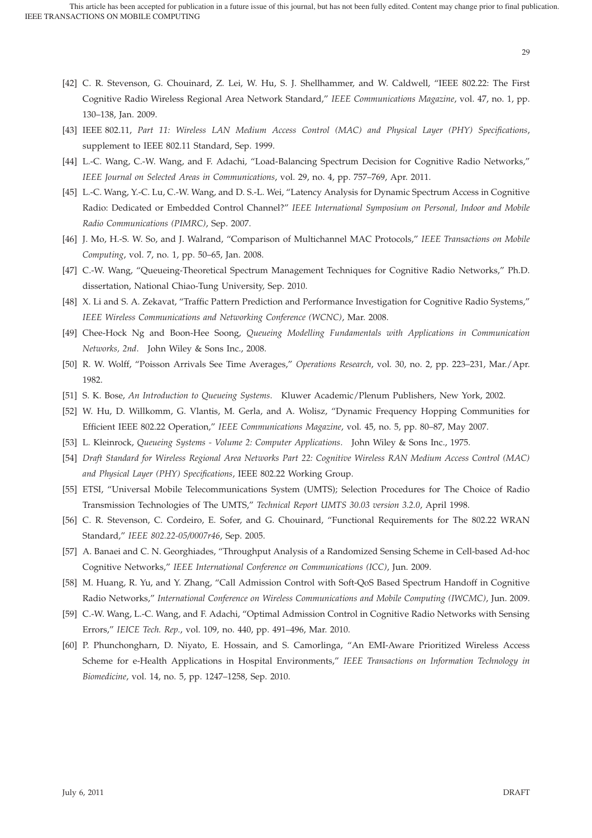- [42] C. R. Stevenson, G. Chouinard, Z. Lei, W. Hu, S. J. Shellhammer, and W. Caldwell, "IEEE 802.22: The First Cognitive Radio Wireless Regional Area Network Standard," *IEEE Communications Magazine*, vol. 47, no. 1, pp. 130–138, Jan. 2009.
- [43] IEEE 802.11, *Part 11: Wireless LAN Medium Access Control (MAC) and Physical Layer (PHY) Specifications*, supplement to IEEE 802.11 Standard, Sep. 1999.
- [44] L.-C. Wang, C.-W. Wang, and F. Adachi, "Load-Balancing Spectrum Decision for Cognitive Radio Networks," *IEEE Journal on Selected Areas in Communications*, vol. 29, no. 4, pp. 757–769, Apr. 2011.
- [45] L.-C. Wang, Y.-C. Lu, C.-W. Wang, and D. S.-L. Wei, "Latency Analysis for Dynamic Spectrum Access in Cognitive Radio: Dedicated or Embedded Control Channel?" *IEEE International Symposium on Personal, Indoor and Mobile Radio Communications (PIMRC)*, Sep. 2007.
- [46] J. Mo, H.-S. W. So, and J. Walrand, "Comparison of Multichannel MAC Protocols," *IEEE Transactions on Mobile Computing*, vol. 7, no. 1, pp. 50–65, Jan. 2008.
- [47] C.-W. Wang, "Queueing-Theoretical Spectrum Management Techniques for Cognitive Radio Networks," Ph.D. dissertation, National Chiao-Tung University, Sep. 2010.
- [48] X. Li and S. A. Zekavat, "Traffic Pattern Prediction and Performance Investigation for Cognitive Radio Systems," *IEEE Wireless Communications and Networking Conference (WCNC)*, Mar. 2008.
- [49] Chee-Hock Ng and Boon-Hee Soong, *Queueing Modelling Fundamentals with Applications in Communication Networks, 2nd*. John Wiley & Sons Inc., 2008.
- [50] R. W. Wolff, "Poisson Arrivals See Time Averages," *Operations Research*, vol. 30, no. 2, pp. 223–231, Mar./Apr. 1982.
- [51] S. K. Bose, *An Introduction to Queueing Systems*. Kluwer Academic/Plenum Publishers, New York, 2002.
- [52] W. Hu, D. Willkomm, G. Vlantis, M. Gerla, and A. Wolisz, "Dynamic Frequency Hopping Communities for Efficient IEEE 802.22 Operation," *IEEE Communications Magazine*, vol. 45, no. 5, pp. 80–87, May 2007.
- [53] L. Kleinrock, *Queueing Systems Volume 2: Computer Applications*. John Wiley & Sons Inc., 1975.
- [54] *Draft Standard for Wireless Regional Area Networks Part 22: Cognitive Wireless RAN Medium Access Control (MAC) and Physical Layer (PHY) Specifications*, IEEE 802.22 Working Group.
- [55] ETSI, "Universal Mobile Telecommunications System (UMTS); Selection Procedures for The Choice of Radio Transmission Technologies of The UMTS," *Technical Report UMTS 30.03 version 3.2.0*, April 1998.
- [56] C. R. Stevenson, C. Cordeiro, E. Sofer, and G. Chouinard, "Functional Requirements for The 802.22 WRAN Standard," *IEEE 802.22-05/0007r46*, Sep. 2005.
- [57] A. Banaei and C. N. Georghiades, "Throughput Analysis of a Randomized Sensing Scheme in Cell-based Ad-hoc Cognitive Networks," *IEEE International Conference on Communications (ICC)*, Jun. 2009.
- [58] M. Huang, R. Yu, and Y. Zhang, "Call Admission Control with Soft-QoS Based Spectrum Handoff in Cognitive Radio Networks," *International Conference on Wireless Communications and Mobile Computing (IWCMC)*, Jun. 2009.
- [59] C.-W. Wang, L.-C. Wang, and F. Adachi, "Optimal Admission Control in Cognitive Radio Networks with Sensing Errors," *IEICE Tech. Rep.*, vol. 109, no. 440, pp. 491–496, Mar. 2010.
- [60] P. Phunchongharn, D. Niyato, E. Hossain, and S. Camorlinga, "An EMI-Aware Prioritized Wireless Access Scheme for e-Health Applications in Hospital Environments," *IEEE Transactions on Information Technology in Biomedicine*, vol. 14, no. 5, pp. 1247–1258, Sep. 2010.